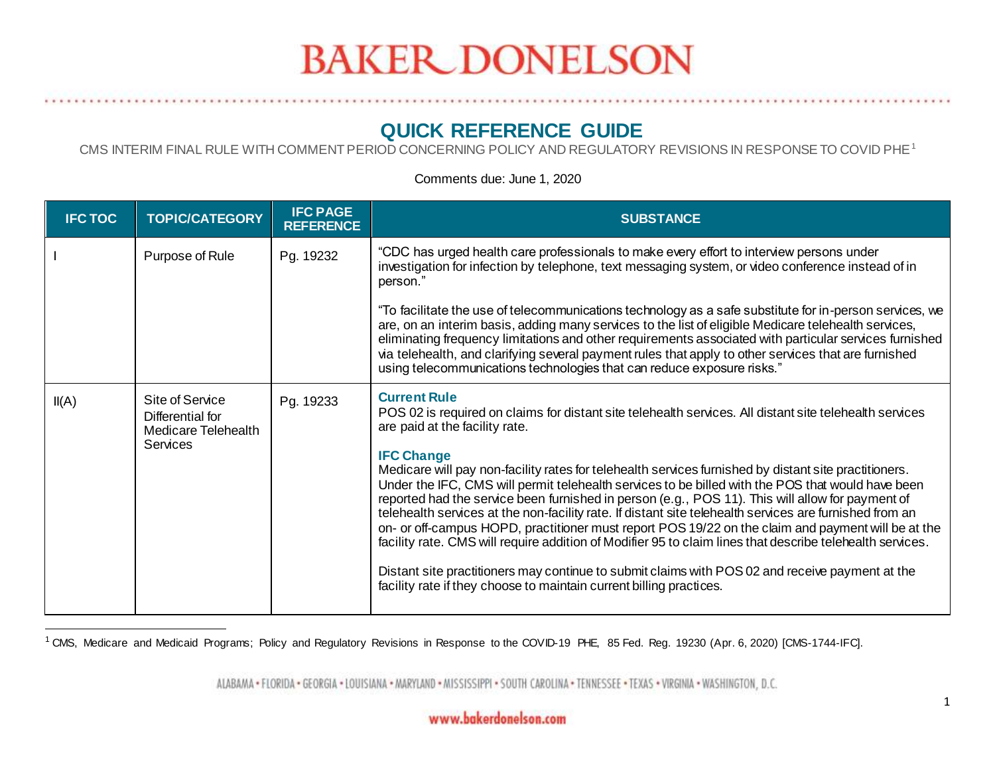#### **QUICK REFERENCE GUIDE**

CMS INTERIM FINAL RULE WITH COMMENT PERIOD CONCERNING POLICY AND REGULATORY REVISIONS IN RESPONSE TO COVID PHE<sup>1</sup>

**IFC TOC TOPIC/CATEGORY IFC PAGE REFERENCE SUBSTANCE** Purpose of Rule Pg. 19232 <sup>"</sup>CDC has urged health care professionals to make every effort to interview persons under investigation for infection by telephone, text messaging system, or video conference instead of in person." "To facilitate the use of telecommunications technology as a safe substitute for in-person services, we are, on an interim basis, adding many services to the list of eligible Medicare telehealth services, eliminating frequency limitations and other requirements associated with particular services furnished via telehealth, and clarifying several payment rules that apply to other services that are furnished using telecommunications technologies that can reduce exposure risks." II(A) Site of Service Differential for Medicare Telehealth **Services** Pg. 19233 **Current Rule**  POS 02 is required on claims for distant site telehealth services. All distant site telehealth services are paid at the facility rate. **IFC Change**  Medicare will pay non-facility rates for telehealth services furnished by distant site practitioners. Under the IFC, CMS will permit telehealth services to be billed with the POS that would have been reported had the service been furnished in person (e.g., POS 11). This will allow for payment of telehealth services at the non-facility rate. If distant site telehealth services are furnished from an on- or off-campus HOPD, practitioner must report POS 19/22 on the claim and payment will be at the facility rate. CMS will require addition of Modifier 95 to claim lines that describe telehealth services. Distant site practitioners may continue to submit claims with POS 02 and receive payment at the facility rate if they choose to maintain current billing practices.

Comments due: June 1, 2020

<sup>1</sup> CMS, Medicare and Medicaid Programs; Policy and Regulatory Revisions in Response to the COVID-19 PHE, 85 Fed. Reg. 19230 (Apr. 6, 2020) [CMS-1744-IFC].

 $\overline{a}$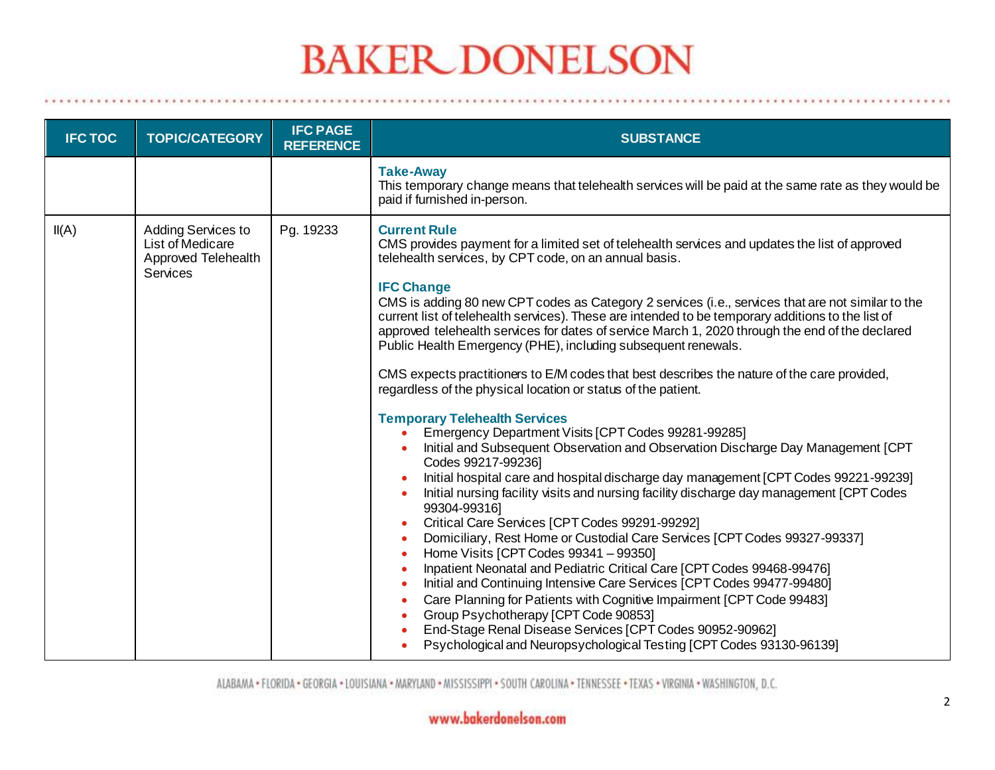| <b>IFC TOC</b> | <b>TOPIC/CATEGORY</b>                                                            | <b>IFC PAGE</b><br><b>REFERENCE</b> | <b>SUBSTANCE</b>                                                                                                                                                                                                                                                                                                                                                                                                                                                                                                                                                                                                                                                                                                                                                                                                                                                                                                                                                                                                                                                                                                                                                                                                                                                                                                                                                                                                                                                                                                                                                                                                                                                                                                                                                                      |
|----------------|----------------------------------------------------------------------------------|-------------------------------------|---------------------------------------------------------------------------------------------------------------------------------------------------------------------------------------------------------------------------------------------------------------------------------------------------------------------------------------------------------------------------------------------------------------------------------------------------------------------------------------------------------------------------------------------------------------------------------------------------------------------------------------------------------------------------------------------------------------------------------------------------------------------------------------------------------------------------------------------------------------------------------------------------------------------------------------------------------------------------------------------------------------------------------------------------------------------------------------------------------------------------------------------------------------------------------------------------------------------------------------------------------------------------------------------------------------------------------------------------------------------------------------------------------------------------------------------------------------------------------------------------------------------------------------------------------------------------------------------------------------------------------------------------------------------------------------------------------------------------------------------------------------------------------------|
|                |                                                                                  |                                     | <b>Take-Away</b><br>This temporary change means that telehealth services will be paid at the same rate as they would be<br>paid if furnished in-person.                                                                                                                                                                                                                                                                                                                                                                                                                                                                                                                                                                                                                                                                                                                                                                                                                                                                                                                                                                                                                                                                                                                                                                                                                                                                                                                                                                                                                                                                                                                                                                                                                               |
| II(A)          | <b>Adding Services to</b><br>List of Medicare<br>Approved Telehealth<br>Services | Pg. 19233                           | <b>Current Rule</b><br>CMS provides payment for a limited set of telehealth services and updates the list of approved<br>telehealth services, by CPT code, on an annual basis.<br><b>IFC Change</b><br>CMS is adding 80 new CPT codes as Category 2 services (i.e., services that are not similar to the<br>current list of telehealth services). These are intended to be temporary additions to the list of<br>approved telehealth services for dates of service March 1, 2020 through the end of the declared<br>Public Health Emergency (PHE), including subsequent renewals.<br>CMS expects practitioners to E/M codes that best describes the nature of the care provided,<br>regardless of the physical location or status of the patient.<br><b>Temporary Telehealth Services</b><br>Emergency Department Visits [CPT Codes 99281-99285]<br>Initial and Subsequent Observation and Observation Discharge Day Management [CPT<br>Codes 99217-99236]<br>Initial hospital care and hospital discharge day management [CPT Codes 99221-99239]<br>Initial nursing facility visits and nursing facility discharge day management [CPT Codes<br>99304-99316]<br>Critical Care Services [CPT Codes 99291-99292]<br>$\bullet$<br>Domiciliary, Rest Home or Custodial Care Services [CPT Codes 99327-99337]<br>$\bullet$<br>Home Visits [CPT Codes 99341 - 99350]<br>$\bullet$<br>Inpatient Neonatal and Pediatric Critical Care [CPT Codes 99468-99476]<br>Initial and Continuing Intensive Care Services [CPT Codes 99477-99480]<br>Care Planning for Patients with Cognitive Impairment [CPT Code 99483]<br>Group Psychotherapy [CPT Code 90853]<br>End-Stage Renal Disease Services [CPT Codes 90952-90962]<br>Psychological and Neuropsychological Testing [CPT Codes 93130-96139] |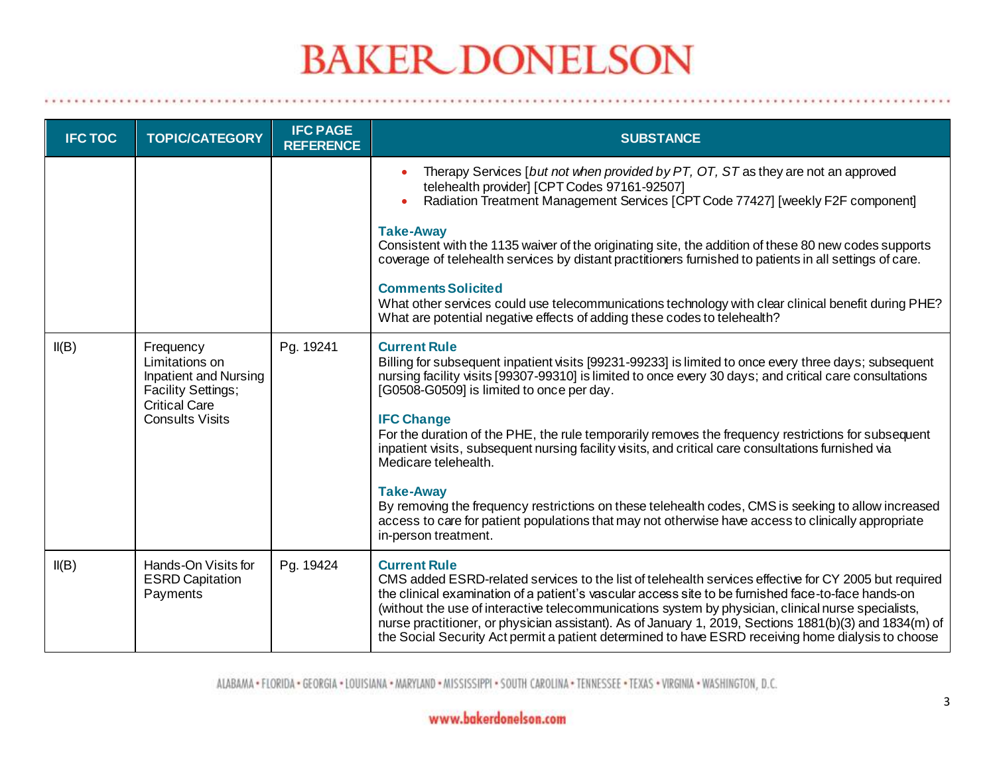. . . . . . .

| <b>IFC TOC</b> | <b>TOPIC/CATEGORY</b>                                                                                                                      | <b>IFC PAGE</b><br><b>REFERENCE</b> | <b>SUBSTANCE</b>                                                                                                                                                                                                                                                                                                                                                                                                                                                                                                                                                                                                                                                                                                                                                                                          |
|----------------|--------------------------------------------------------------------------------------------------------------------------------------------|-------------------------------------|-----------------------------------------------------------------------------------------------------------------------------------------------------------------------------------------------------------------------------------------------------------------------------------------------------------------------------------------------------------------------------------------------------------------------------------------------------------------------------------------------------------------------------------------------------------------------------------------------------------------------------------------------------------------------------------------------------------------------------------------------------------------------------------------------------------|
|                |                                                                                                                                            |                                     | Therapy Services [but not when provided by PT, OT, ST as they are not an approved<br>$\bullet$<br>telehealth provider] [CPT Codes 97161-92507]<br>Radiation Treatment Management Services [CPT Code 77427] [weekly F2F component]<br><b>Take-Away</b><br>Consistent with the 1135 waiver of the originating site, the addition of these 80 new codes supports<br>coverage of telehealth services by distant practitioners furnished to patients in all settings of care.<br><b>Comments Solicited</b><br>What other services could use telecommunications technology with clear clinical benefit during PHE?                                                                                                                                                                                              |
|                |                                                                                                                                            |                                     | What are potential negative effects of adding these codes to telehealth?                                                                                                                                                                                                                                                                                                                                                                                                                                                                                                                                                                                                                                                                                                                                  |
| II(B)          | Frequency<br>Limitations on<br><b>Inpatient and Nursing</b><br><b>Facility Settings;</b><br><b>Critical Care</b><br><b>Consults Visits</b> | Pg. 19241                           | <b>Current Rule</b><br>Billing for subsequent inpatient visits [99231-99233] is limited to once every three days; subsequent<br>nursing facility visits [99307-99310] is limited to once every 30 days; and critical care consultations<br>[G0508-G0509] is limited to once per day.<br><b>IFC Change</b><br>For the duration of the PHE, the rule temporarily removes the frequency restrictions for subsequent<br>inpatient visits, subsequent nursing facility visits, and critical care consultations furnished via<br>Medicare telehealth.<br><b>Take-Away</b><br>By removing the frequency restrictions on these telehealth codes, CMS is seeking to allow increased<br>access to care for patient populations that may not otherwise have access to clinically appropriate<br>in-person treatment. |
| II(B)          | Hands-On Visits for<br><b>ESRD Capitation</b><br>Payments                                                                                  | Pg. 19424                           | <b>Current Rule</b><br>CMS added ESRD-related services to the list of telehealth services effective for CY 2005 but required<br>the clinical examination of a patient's vascular access site to be furnished face-to-face hands-on<br>(without the use of interactive telecommunications system by physician, clinical nurse specialists,<br>nurse practitioner, or physician assistant). As of January 1, 2019, Sections 1881(b)(3) and 1834(m) of<br>the Social Security Act permit a patient determined to have ESRD receiving home dialysis to choose                                                                                                                                                                                                                                                 |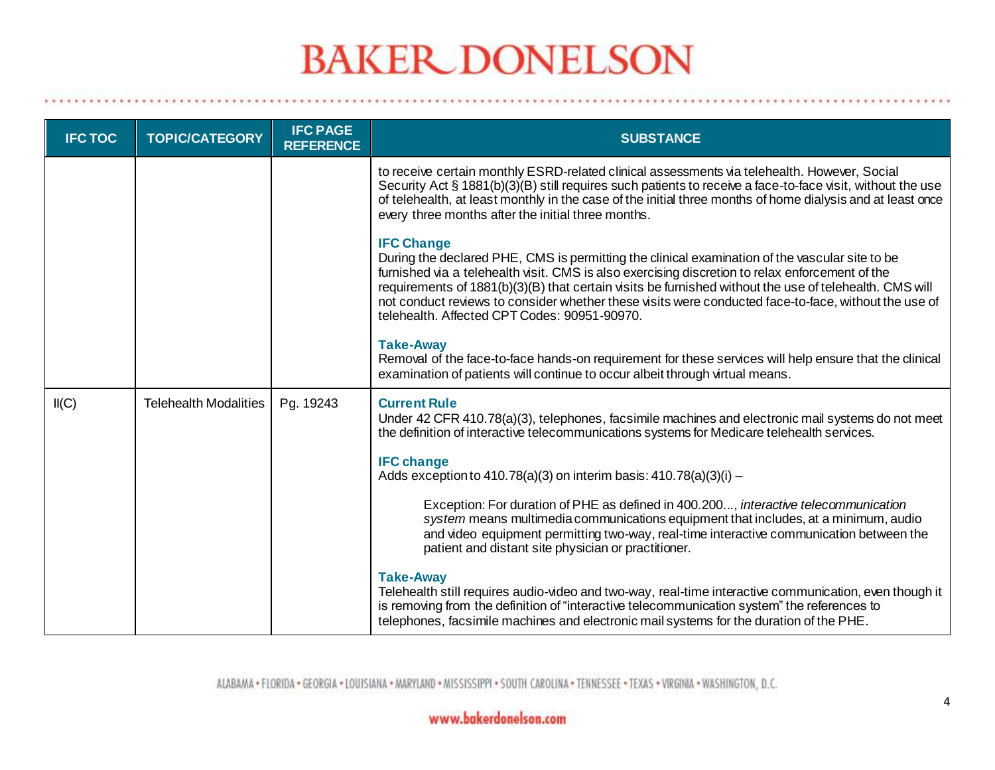| <b>IFC TOC</b> | <b>TOPIC/CATEGORY</b>        | <b>IFC PAGE</b><br><b>REFERENCE</b> | <b>SUBSTANCE</b>                                                                                                                                                                                                                                                                                                                                                                                                                                                                         |
|----------------|------------------------------|-------------------------------------|------------------------------------------------------------------------------------------------------------------------------------------------------------------------------------------------------------------------------------------------------------------------------------------------------------------------------------------------------------------------------------------------------------------------------------------------------------------------------------------|
|                |                              |                                     | to receive certain monthly ESRD-related clinical assessments via telehealth. However, Social<br>Security Act § 1881(b)(3)(B) still requires such patients to receive a face-to-face visit, without the use<br>of telehealth, at least monthly in the case of the initial three months of home dialysis and at least once<br>every three months after the initial three months.                                                                                                           |
|                |                              |                                     | <b>IFC Change</b><br>During the declared PHE, CMS is permitting the clinical examination of the vascular site to be<br>furnished via a telehealth visit. CMS is also exercising discretion to relax enforcement of the<br>requirements of 1881(b)(3)(B) that certain visits be furnished without the use of telehealth. CMS will<br>not conduct reviews to consider whether these visits were conducted face-to-face, without the use of<br>telehealth. Affected CPT Codes: 90951-90970. |
|                |                              |                                     | <b>Take-Away</b><br>Removal of the face-to-face hands-on requirement for these services will help ensure that the clinical<br>examination of patients will continue to occur albeit through virtual means.                                                                                                                                                                                                                                                                               |
| II(C)          | <b>Telehealth Modalities</b> | Pg. 19243                           | <b>Current Rule</b><br>Under 42 CFR 410.78(a)(3), telephones, facsimile machines and electronic mail systems do not meet<br>the definition of interactive telecommunications systems for Medicare telehealth services.                                                                                                                                                                                                                                                                   |
|                |                              |                                     | <b>IFC change</b><br>Adds exception to $410.78(a)(3)$ on interim basis: $410.78(a)(3)(i)$ –                                                                                                                                                                                                                                                                                                                                                                                              |
|                |                              |                                     | Exception: For duration of PHE as defined in 400.200, interactive telecommunication<br>system means multimedia communications equipment that includes, at a minimum, audio<br>and video equipment permitting two-way, real-time interactive communication between the<br>patient and distant site physician or practitioner.                                                                                                                                                             |
|                |                              |                                     | <b>Take-Away</b><br>Telehealth still requires audio-video and two-way, real-time interactive communication, even though it<br>is removing from the definition of "interactive telecommunication system" the references to<br>telephones, facsimile machines and electronic mail systems for the duration of the PHE.                                                                                                                                                                     |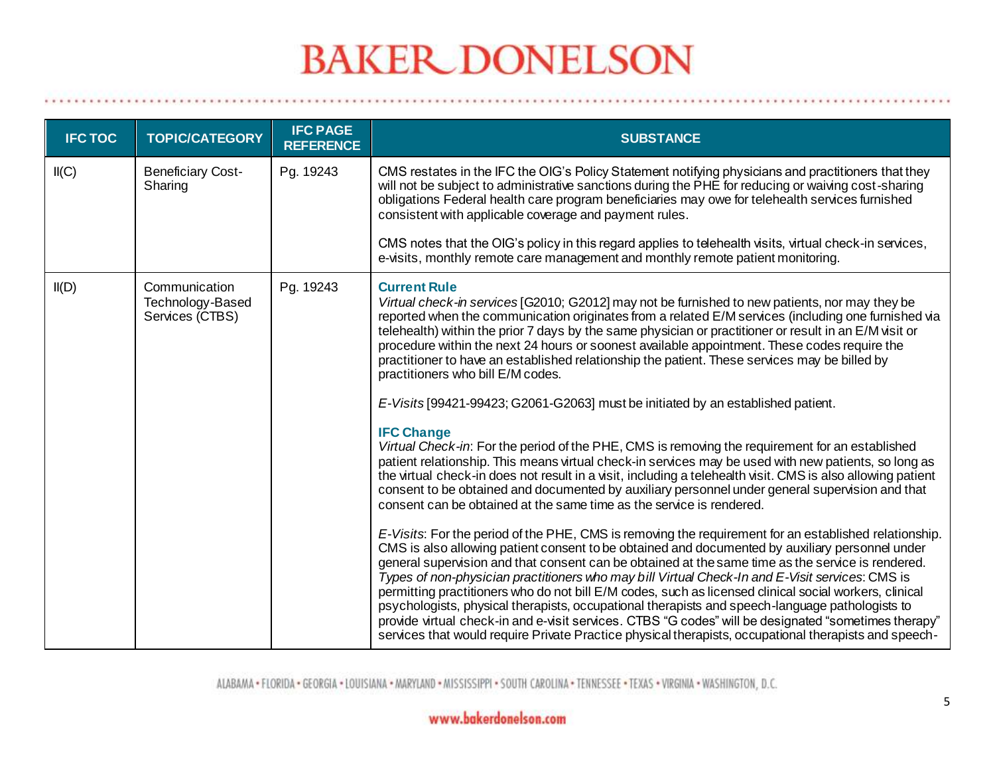. . . . . . . . . . . . . . . . . . .

| <b>IFC TOC</b> | <b>TOPIC/CATEGORY</b>                                | <b>IFC PAGE</b><br><b>REFERENCE</b> | <b>SUBSTANCE</b>                                                                                                                                                                                                                                                                                                                                                                                                                                                                                                                                                                                                                                                                                                                                                                                                                               |
|----------------|------------------------------------------------------|-------------------------------------|------------------------------------------------------------------------------------------------------------------------------------------------------------------------------------------------------------------------------------------------------------------------------------------------------------------------------------------------------------------------------------------------------------------------------------------------------------------------------------------------------------------------------------------------------------------------------------------------------------------------------------------------------------------------------------------------------------------------------------------------------------------------------------------------------------------------------------------------|
| II(C)          | <b>Beneficiary Cost-</b><br>Sharing                  | Pg. 19243                           | CMS restates in the IFC the OIG's Policy Statement notifying physicians and practitioners that they<br>will not be subject to administrative sanctions during the PHE for reducing or waiving cost-sharing<br>obligations Federal health care program beneficiaries may owe for telehealth services furnished<br>consistent with applicable coverage and payment rules.                                                                                                                                                                                                                                                                                                                                                                                                                                                                        |
|                |                                                      |                                     | CMS notes that the OIG's policy in this regard applies to telehealth visits, virtual check-in services,<br>e-visits, monthly remote care management and monthly remote patient monitoring.                                                                                                                                                                                                                                                                                                                                                                                                                                                                                                                                                                                                                                                     |
| II(D)          | Communication<br>Technology-Based<br>Services (CTBS) | Pg. 19243                           | <b>Current Rule</b><br>Virtual check-in services [G2010; G2012] may not be furnished to new patients, nor may they be<br>reported when the communication originates from a related E/M services (including one furnished via<br>telehealth) within the prior 7 days by the same physician or practitioner or result in an E/M visit or<br>procedure within the next 24 hours or soonest available appointment. These codes require the<br>practitioner to have an established relationship the patient. These services may be billed by<br>practitioners who bill E/M codes.                                                                                                                                                                                                                                                                   |
|                |                                                      |                                     | E-Visits [99421-99423; G2061-G2063] must be initiated by an established patient.                                                                                                                                                                                                                                                                                                                                                                                                                                                                                                                                                                                                                                                                                                                                                               |
|                |                                                      |                                     | <b>IFC Change</b><br>Virtual Check-in: For the period of the PHE, CMS is removing the requirement for an established<br>patient relationship. This means virtual check-in services may be used with new patients, so long as<br>the virtual check-in does not result in a visit, including a telehealth visit. CMS is also allowing patient<br>consent to be obtained and documented by auxiliary personnel under general supervision and that<br>consent can be obtained at the same time as the service is rendered.                                                                                                                                                                                                                                                                                                                         |
|                |                                                      |                                     | E-Visits: For the period of the PHE, CMS is removing the requirement for an established relationship.<br>CMS is also allowing patient consent to be obtained and documented by auxiliary personnel under<br>general supervision and that consent can be obtained at the same time as the service is rendered.<br>Types of non-physician practitioners who may bill Virtual Check-In and E-Visit services: CMS is<br>permitting practitioners who do not bill E/M codes, such as licensed clinical social workers, clinical<br>psychologists, physical therapists, occupational therapists and speech-language pathologists to<br>provide virtual check-in and e-visit services. CTBS "G codes" will be designated "sometimes therapy"<br>services that would require Private Practice physical therapists, occupational therapists and speech- |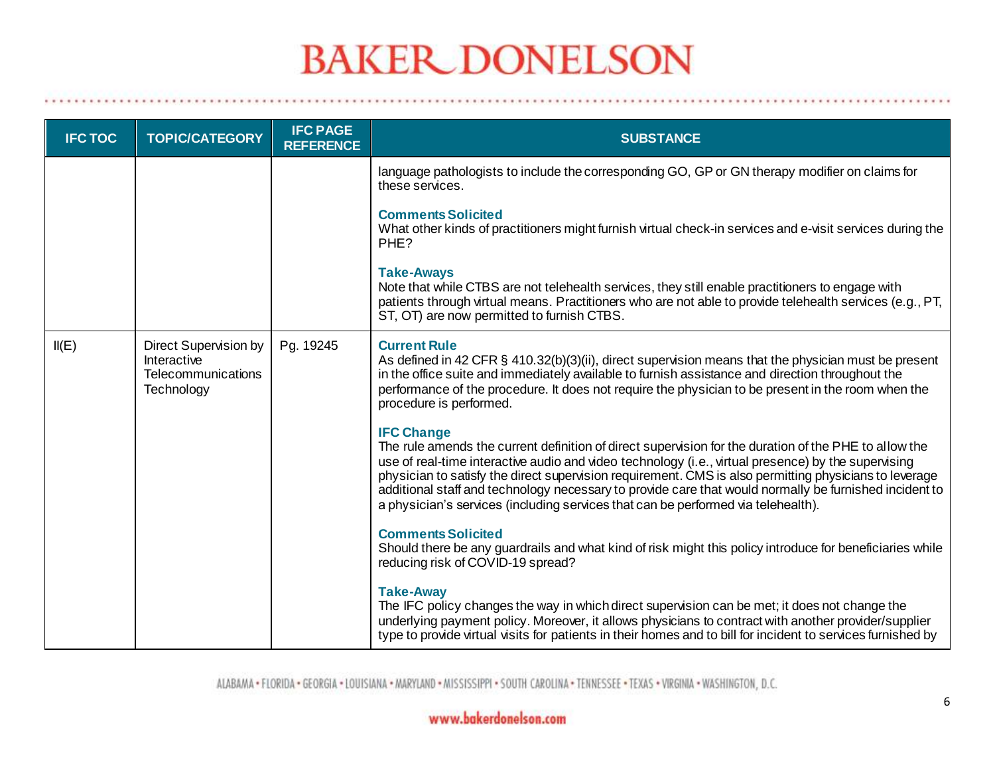. . . . . . .

| <b>IFC TOC</b> | <b>TOPIC/CATEGORY</b>                                                    | <b>IFC PAGE</b><br><b>REFERENCE</b> | <b>SUBSTANCE</b>                                                                                                                                                                                                                                                                                                                                                                                                                                                                                                                           |
|----------------|--------------------------------------------------------------------------|-------------------------------------|--------------------------------------------------------------------------------------------------------------------------------------------------------------------------------------------------------------------------------------------------------------------------------------------------------------------------------------------------------------------------------------------------------------------------------------------------------------------------------------------------------------------------------------------|
|                |                                                                          |                                     | language pathologists to include the corresponding GO, GP or GN therapy modifier on claims for<br>these services.                                                                                                                                                                                                                                                                                                                                                                                                                          |
|                |                                                                          |                                     | <b>Comments Solicited</b><br>What other kinds of practitioners might furnish virtual check-in services and e-visit services during the<br>PHE?                                                                                                                                                                                                                                                                                                                                                                                             |
|                |                                                                          |                                     | <b>Take-Aways</b><br>Note that while CTBS are not telehealth services, they still enable practitioners to engage with<br>patients through virtual means. Practitioners who are not able to provide telehealth services (e.g., PT,<br>ST, OT) are now permitted to furnish CTBS.                                                                                                                                                                                                                                                            |
| II(E)          | Direct Supervision by<br>Interactive<br>Telecommunications<br>Technology | Pg. 19245                           | <b>Current Rule</b><br>As defined in 42 CFR § 410.32(b)(3)(ii), direct supervision means that the physician must be present<br>in the office suite and immediately available to furnish assistance and direction throughout the<br>performance of the procedure. It does not require the physician to be present in the room when the<br>procedure is performed.                                                                                                                                                                           |
|                |                                                                          |                                     | <b>IFC Change</b><br>The rule amends the current definition of direct supervision for the duration of the PHE to allow the<br>use of real-time interactive audio and video technology (i.e., virtual presence) by the supervising<br>physician to satisfy the direct supervision requirement. CMS is also permitting physicians to leverage<br>additional staff and technology necessary to provide care that would normally be furnished incident to<br>a physician's services (including services that can be performed via telehealth). |
|                |                                                                          |                                     | <b>Comments Solicited</b><br>Should there be any guardrails and what kind of risk might this policy introduce for beneficiaries while<br>reducing risk of COVID-19 spread?                                                                                                                                                                                                                                                                                                                                                                 |
|                |                                                                          |                                     | <b>Take-Away</b><br>The IFC policy changes the way in which direct supervision can be met; it does not change the<br>underlying payment policy. Moreover, it allows physicians to contract with another provider/supplier<br>type to provide virtual visits for patients in their homes and to bill for incident to services furnished by                                                                                                                                                                                                  |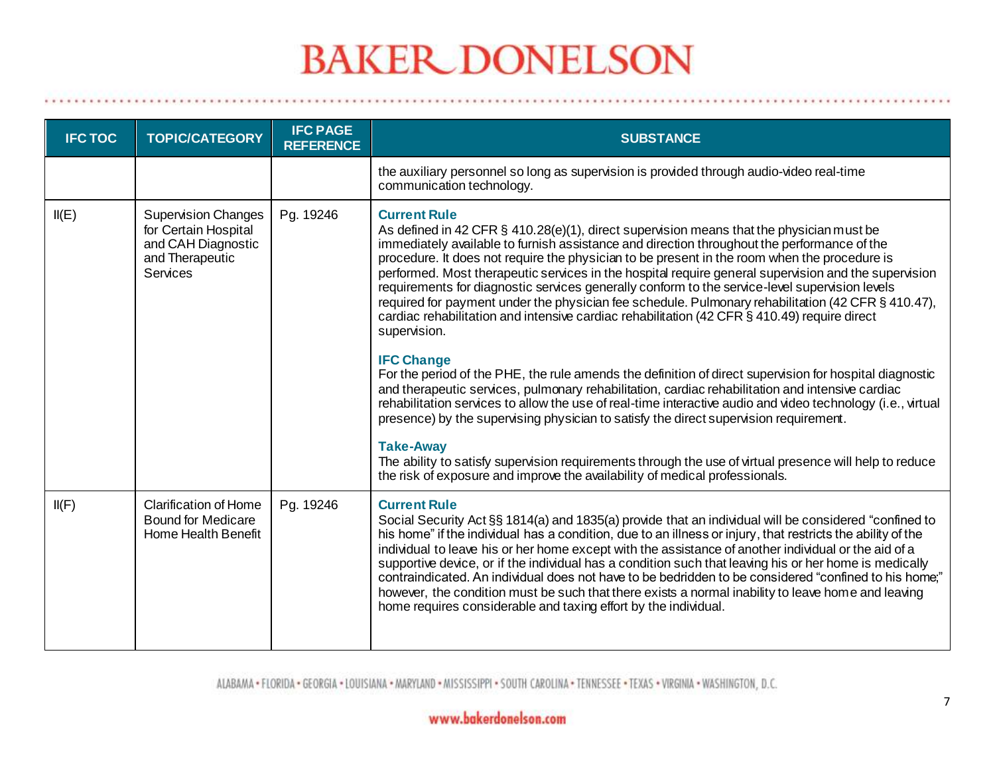| <b>IFC TOC</b> | <b>TOPIC/CATEGORY</b>                                                                                          | <b>IFC PAGE</b><br><b>REFERENCE</b> | <b>SUBSTANCE</b>                                                                                                                                                                                                                                                                                                                                                                                                                                                                                                                                                                                                                                                                                                                                                                                                                                                                                                                                                                                                                                                                                                                                                                                                                                                                                                                                                                                            |
|----------------|----------------------------------------------------------------------------------------------------------------|-------------------------------------|-------------------------------------------------------------------------------------------------------------------------------------------------------------------------------------------------------------------------------------------------------------------------------------------------------------------------------------------------------------------------------------------------------------------------------------------------------------------------------------------------------------------------------------------------------------------------------------------------------------------------------------------------------------------------------------------------------------------------------------------------------------------------------------------------------------------------------------------------------------------------------------------------------------------------------------------------------------------------------------------------------------------------------------------------------------------------------------------------------------------------------------------------------------------------------------------------------------------------------------------------------------------------------------------------------------------------------------------------------------------------------------------------------------|
|                |                                                                                                                |                                     | the auxiliary personnel so long as supervision is provided through audio-video real-time<br>communication technology.                                                                                                                                                                                                                                                                                                                                                                                                                                                                                                                                                                                                                                                                                                                                                                                                                                                                                                                                                                                                                                                                                                                                                                                                                                                                                       |
| II(E)          | <b>Supervision Changes</b><br>for Certain Hospital<br>and CAH Diagnostic<br>and Therapeutic<br><b>Services</b> | Pg. 19246                           | <b>Current Rule</b><br>As defined in 42 CFR $\S$ 410.28(e)(1), direct supervision means that the physician must be<br>immediately available to furnish assistance and direction throughout the performance of the<br>procedure. It does not require the physician to be present in the room when the procedure is<br>performed. Most therapeutic services in the hospital require general supervision and the supervision<br>requirements for diagnostic services generally conform to the service-level supervision levels<br>required for payment under the physician fee schedule. Pulmonary rehabilitation (42 CFR § 410.47),<br>cardiac rehabilitation and intensive cardiac rehabilitation (42 CFR § 410.49) require direct<br>supervision.<br><b>IFC Change</b><br>For the period of the PHE, the rule amends the definition of direct supervision for hospital diagnostic<br>and therapeutic services, pulmonary rehabilitation, cardiac rehabilitation and intensive cardiac<br>rehabilitation services to allow the use of real-time interactive audio and video technology (i.e., virtual<br>presence) by the supervising physician to satisfy the direct supervision requirement.<br><b>Take-Away</b><br>The ability to satisfy supervision requirements through the use of virtual presence will help to reduce<br>the risk of exposure and improve the availability of medical professionals. |
| II(F)          | <b>Clarification of Home</b><br><b>Bound for Medicare</b><br>Home Health Benefit                               | Pg. 19246                           | <b>Current Rule</b><br>Social Security Act §§ 1814(a) and 1835(a) provide that an individual will be considered "confined to<br>his home" if the individual has a condition, due to an illness or injury, that restricts the ability of the<br>individual to leave his or her home except with the assistance of another individual or the aid of a<br>supportive device, or if the individual has a condition such that leaving his or her home is medically<br>contraindicated. An individual does not have to be bedridden to be considered "confined to his home."<br>however, the condition must be such that there exists a normal inability to leave home and leaving<br>home requires considerable and taxing effort by the individual.                                                                                                                                                                                                                                                                                                                                                                                                                                                                                                                                                                                                                                                             |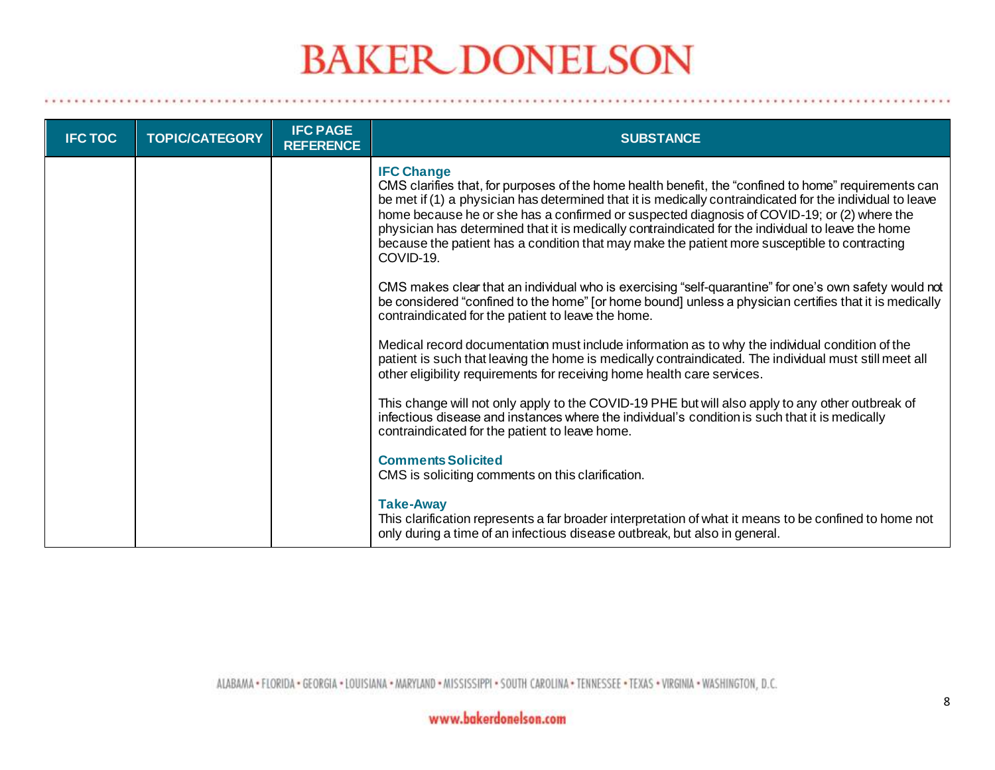| <b>IFC TOC</b> | <b>TOPIC/CATEGORY</b> | <b>IFC PAGE</b><br><b>REFERENCE</b> | <b>SUBSTANCE</b>                                                                                                                                                                                                                                                                                                                                                                                                                                                                                                                                          |
|----------------|-----------------------|-------------------------------------|-----------------------------------------------------------------------------------------------------------------------------------------------------------------------------------------------------------------------------------------------------------------------------------------------------------------------------------------------------------------------------------------------------------------------------------------------------------------------------------------------------------------------------------------------------------|
|                |                       |                                     | <b>IFC Change</b><br>CMS clarifies that, for purposes of the home health benefit, the "confined to home" requirements can<br>be met if (1) a physician has determined that it is medically contraindicated for the individual to leave<br>home because he or she has a confirmed or suspected diagnosis of COVID-19; or (2) where the<br>physician has determined that it is medically contraindicated for the individual to leave the home<br>because the patient has a condition that may make the patient more susceptible to contracting<br>COVID-19. |
|                |                       |                                     | CMS makes clear that an individual who is exercising "self-quarantine" for one's own safety would not<br>be considered "confined to the home" [or home bound] unless a physician certifies that it is medically<br>contraindicated for the patient to leave the home.                                                                                                                                                                                                                                                                                     |
|                |                       |                                     | Medical record documentation must include information as to why the individual condition of the<br>patient is such that leaving the home is medically contraindicated. The individual must still meet all<br>other eligibility requirements for receiving home health care services.                                                                                                                                                                                                                                                                      |
|                |                       |                                     | This change will not only apply to the COVID-19 PHE but will also apply to any other outbreak of<br>infectious disease and instances where the individual's condition is such that it is medically<br>contraindicated for the patient to leave home.                                                                                                                                                                                                                                                                                                      |
|                |                       |                                     | <b>Comments Solicited</b><br>CMS is soliciting comments on this clarification.                                                                                                                                                                                                                                                                                                                                                                                                                                                                            |
|                |                       |                                     | <b>Take-Away</b><br>This clarification represents a far broader interpretation of what it means to be confined to home not<br>only during a time of an infectious disease outbreak, but also in general.                                                                                                                                                                                                                                                                                                                                                  |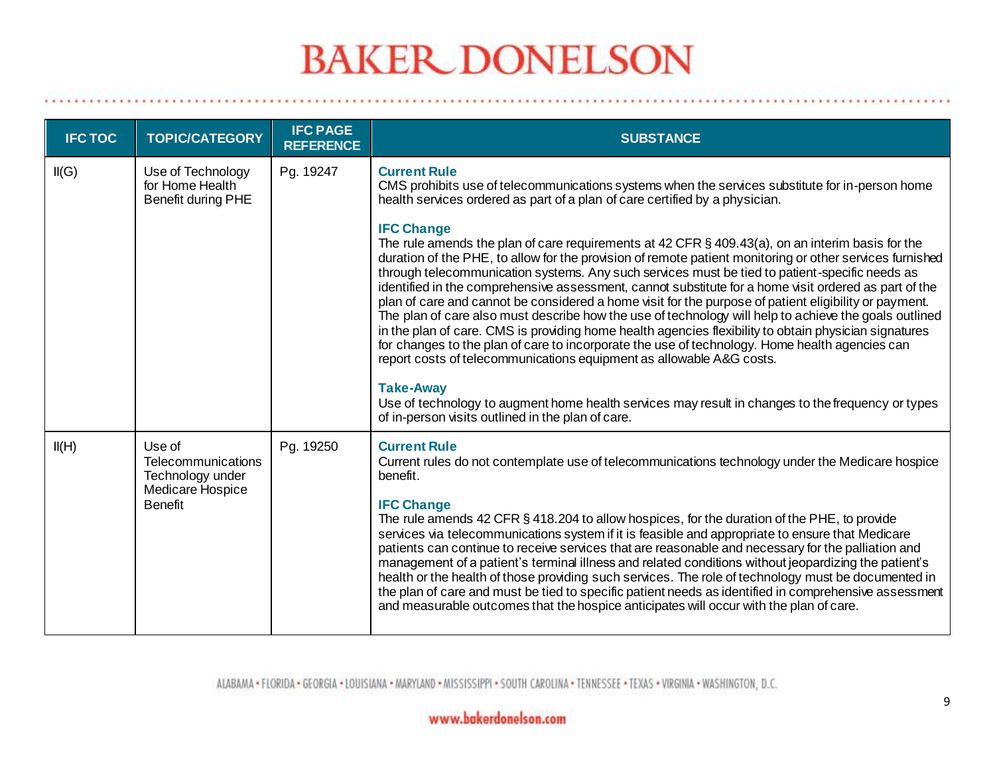| <b>IFC TOC</b> | <b>TOPIC/CATEGORY</b>                                                | <b>IFC PAGE</b><br><b>REFERENCE</b> | <b>SUBSTANCE</b>                                                                                                                                                                                                                                                                                                                                                                                                                                                                                                                                                                                                                                                                                                                                                                                                                                                                                                                                                                                                                                                                                                                     |
|----------------|----------------------------------------------------------------------|-------------------------------------|--------------------------------------------------------------------------------------------------------------------------------------------------------------------------------------------------------------------------------------------------------------------------------------------------------------------------------------------------------------------------------------------------------------------------------------------------------------------------------------------------------------------------------------------------------------------------------------------------------------------------------------------------------------------------------------------------------------------------------------------------------------------------------------------------------------------------------------------------------------------------------------------------------------------------------------------------------------------------------------------------------------------------------------------------------------------------------------------------------------------------------------|
| II(G)          | Use of Technology<br>for Home Health<br>Benefit during PHE           | Pg. 19247                           | <b>Current Rule</b><br>CMS prohibits use of telecommunications systems when the services substitute for in-person home<br>health services ordered as part of a plan of care certified by a physician.                                                                                                                                                                                                                                                                                                                                                                                                                                                                                                                                                                                                                                                                                                                                                                                                                                                                                                                                |
|                |                                                                      |                                     | <b>IFC Change</b><br>The rule amends the plan of care requirements at $42$ CFR $\S$ 409.43(a), on an interim basis for the<br>duration of the PHE, to allow for the provision of remote patient monitoring or other services furnished<br>through telecommunication systems. Any such services must be tied to patient-specific needs as<br>identified in the comprehensive assessment, cannot substitute for a home visit ordered as part of the<br>plan of care and cannot be considered a home visit for the purpose of patient eligibility or payment.<br>The plan of care also must describe how the use of technology will help to achieve the goals outlined<br>in the plan of care. CMS is providing home health agencies flexibility to obtain physician signatures<br>for changes to the plan of care to incorporate the use of technology. Home health agencies can<br>report costs of telecommunications equipment as allowable A&G costs.<br><b>Take-Away</b><br>Use of technology to augment home health services may result in changes to the frequency or types<br>of in-person visits outlined in the plan of care. |
| II(H)          | Use of<br>Telecommunications<br>Technology under<br>Medicare Hospice | Pg. 19250                           | <b>Current Rule</b><br>Current rules do not contemplate use of telecommunications technology under the Medicare hospice<br>benefit.                                                                                                                                                                                                                                                                                                                                                                                                                                                                                                                                                                                                                                                                                                                                                                                                                                                                                                                                                                                                  |
|                | <b>Benefit</b>                                                       |                                     | <b>IFC Change</b><br>The rule amends 42 CFR § 418.204 to allow hospices, for the duration of the PHE, to provide<br>services via telecommunications system if it is feasible and appropriate to ensure that Medicare<br>patients can continue to receive services that are reasonable and necessary for the palliation and<br>management of a patient's terminal illness and related conditions without jeopardizing the patient's<br>health or the health of those providing such services. The role of technology must be documented in<br>the plan of care and must be tied to specific patient needs as identified in comprehensive assessment<br>and measurable outcomes that the hospice anticipates will occur with the plan of care.                                                                                                                                                                                                                                                                                                                                                                                         |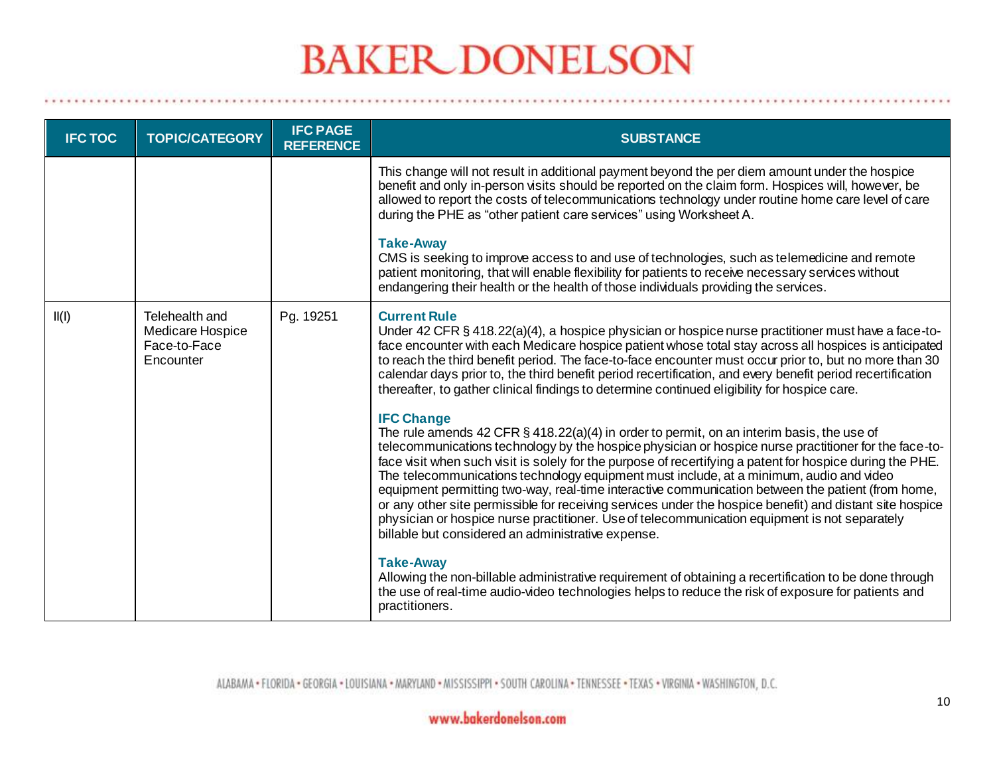| <b>IFC TOC</b> | <b>TOPIC/CATEGORY</b>                                           | <b>IFC PAGE</b><br><b>REFERENCE</b> | <b>SUBSTANCE</b>                                                                                                                                                                                                                                                                                                                                                                                                                                                                                                                                                                                                                                                                                                                                                                                           |
|----------------|-----------------------------------------------------------------|-------------------------------------|------------------------------------------------------------------------------------------------------------------------------------------------------------------------------------------------------------------------------------------------------------------------------------------------------------------------------------------------------------------------------------------------------------------------------------------------------------------------------------------------------------------------------------------------------------------------------------------------------------------------------------------------------------------------------------------------------------------------------------------------------------------------------------------------------------|
|                |                                                                 |                                     | This change will not result in additional payment beyond the per diem amount under the hospice<br>benefit and only in-person visits should be reported on the claim form. Hospices will, however, be<br>allowed to report the costs of telecommunications technology under routine home care level of care<br>during the PHE as "other patient care services" using Worksheet A.                                                                                                                                                                                                                                                                                                                                                                                                                           |
|                |                                                                 |                                     | <b>Take-Away</b><br>CMS is seeking to improve access to and use of technologies, such as telemedicine and remote<br>patient monitoring, that will enable flexibility for patients to receive necessary services without<br>endangering their health or the health of those individuals providing the services.                                                                                                                                                                                                                                                                                                                                                                                                                                                                                             |
| II(I)          | Telehealth and<br>Medicare Hospice<br>Face-to-Face<br>Encounter | Pg. 19251                           | <b>Current Rule</b><br>Under 42 CFR § 418.22(a)(4), a hospice physician or hospice nurse practitioner must have a face-to-<br>face encounter with each Medicare hospice patient whose total stay across all hospices is anticipated<br>to reach the third benefit period. The face-to-face encounter must occur prior to, but no more than 30<br>calendar days prior to, the third benefit period recertification, and every benefit period recertification<br>thereafter, to gather clinical findings to determine continued eligibility for hospice care.                                                                                                                                                                                                                                                |
|                |                                                                 |                                     | <b>IFC Change</b><br>The rule amends 42 CFR $\S$ 418.22(a)(4) in order to permit, on an interim basis, the use of<br>telecommunications technology by the hospice physician or hospice nurse practitioner for the face-to-<br>face visit when such visit is solely for the purpose of recertifying a patent for hospice during the PHE.<br>The telecommunications technology equipment must include, at a minimum, audio and video<br>equipment permitting two-way, real-time interactive communication between the patient (from home,<br>or any other site permissible for receiving services under the hospice benefit) and distant site hospice<br>physician or hospice nurse practitioner. Use of telecommunication equipment is not separately<br>billable but considered an administrative expense. |
|                |                                                                 |                                     | <b>Take-Away</b><br>Allowing the non-billable administrative requirement of obtaining a recertification to be done through<br>the use of real-time audio-video technologies helps to reduce the risk of exposure for patients and<br>practitioners.                                                                                                                                                                                                                                                                                                                                                                                                                                                                                                                                                        |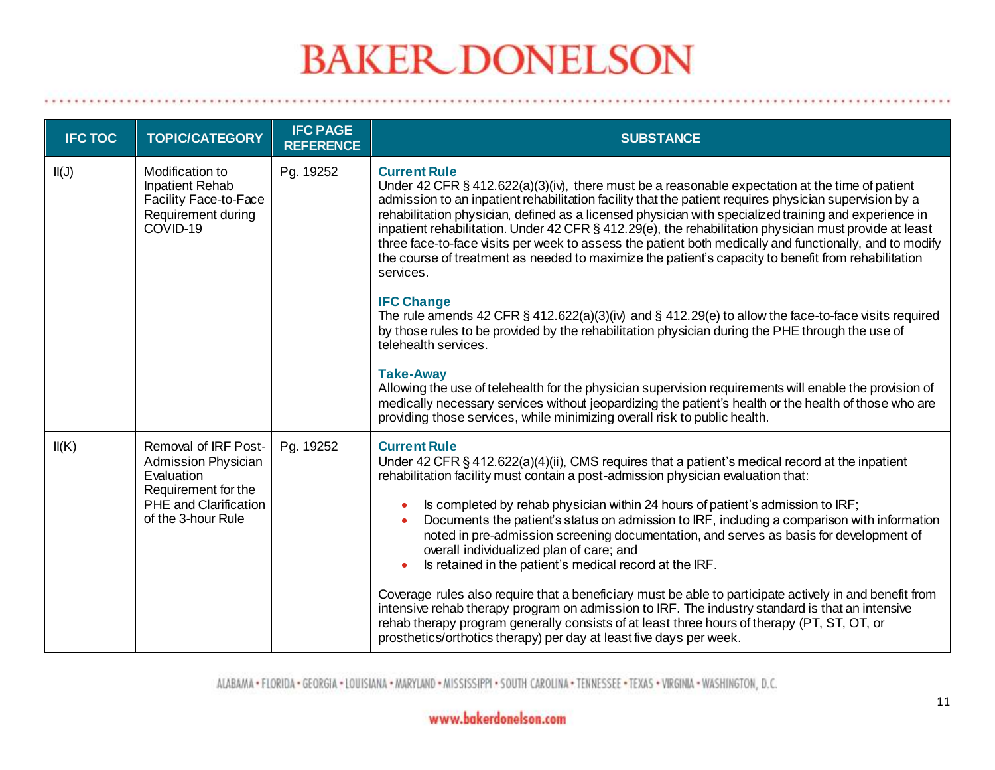| <b>IFC TOC</b> | <b>TOPIC/CATEGORY</b>                                                                                                                         | <b>IFC PAGE</b><br><b>REFERENCE</b> | <b>SUBSTANCE</b>                                                                                                                                                                                                                                                                                                                                                                                                                                                                                                                                                                                                                                                                                                                                                                                                                                                                                                                                                                                                                                                                                                                                                                                                                                                     |
|----------------|-----------------------------------------------------------------------------------------------------------------------------------------------|-------------------------------------|----------------------------------------------------------------------------------------------------------------------------------------------------------------------------------------------------------------------------------------------------------------------------------------------------------------------------------------------------------------------------------------------------------------------------------------------------------------------------------------------------------------------------------------------------------------------------------------------------------------------------------------------------------------------------------------------------------------------------------------------------------------------------------------------------------------------------------------------------------------------------------------------------------------------------------------------------------------------------------------------------------------------------------------------------------------------------------------------------------------------------------------------------------------------------------------------------------------------------------------------------------------------|
| II(J)          | Modification to<br><b>Inpatient Rehab</b><br>Facility Face-to-Face<br>Requirement during<br>COVID-19                                          | Pg. 19252                           | <b>Current Rule</b><br>Under 42 CFR § 412.622(a)(3)(iv), there must be a reasonable expectation at the time of patient<br>admission to an inpatient rehabilitation facility that the patient requires physician supervision by a<br>rehabilitation physician, defined as a licensed physician with specialized training and experience in<br>inpatient rehabilitation. Under 42 CFR § 412.29(e), the rehabilitation physician must provide at least<br>three face-to-face visits per week to assess the patient both medically and functionally, and to modify<br>the course of treatment as needed to maximize the patient's capacity to benefit from rehabilitation<br>services.<br><b>IFC Change</b><br>The rule amends 42 CFR $\S$ 412.622(a)(3)(iv) and $\S$ 412.29(e) to allow the face-to-face visits required<br>by those rules to be provided by the rehabilitation physician during the PHE through the use of<br>telehealth services.<br><b>Take-Away</b><br>Allowing the use of telehealth for the physician supervision requirements will enable the provision of<br>medically necessary services without jeopardizing the patient's health or the health of those who are<br>providing those services, while minimizing overall risk to public health. |
| II(K)          | Removal of IRF Post-<br><b>Admission Physician</b><br>Evaluation<br>Requirement for the<br><b>PHE</b> and Clarification<br>of the 3-hour Rule | Pg. 19252                           | <b>Current Rule</b><br>Under 42 CFR $\S$ 412.622(a)(4)(ii), CMS requires that a patient's medical record at the inpatient<br>rehabilitation facility must contain a post-admission physician evaluation that:<br>Is completed by rehab physician within 24 hours of patient's admission to IRF;<br>Documents the patient's status on admission to IRF, including a comparison with information<br>$\bullet$<br>noted in pre-admission screening documentation, and serves as basis for development of<br>overall individualized plan of care; and<br>Is retained in the patient's medical record at the IRF.<br>Coverage rules also require that a beneficiary must be able to participate actively in and benefit from<br>intensive rehab therapy program on admission to IRF. The industry standard is that an intensive<br>rehab therapy program generally consists of at least three hours of therapy (PT, ST, OT, or<br>prosthetics/orthotics therapy) per day at least five days per week.                                                                                                                                                                                                                                                                     |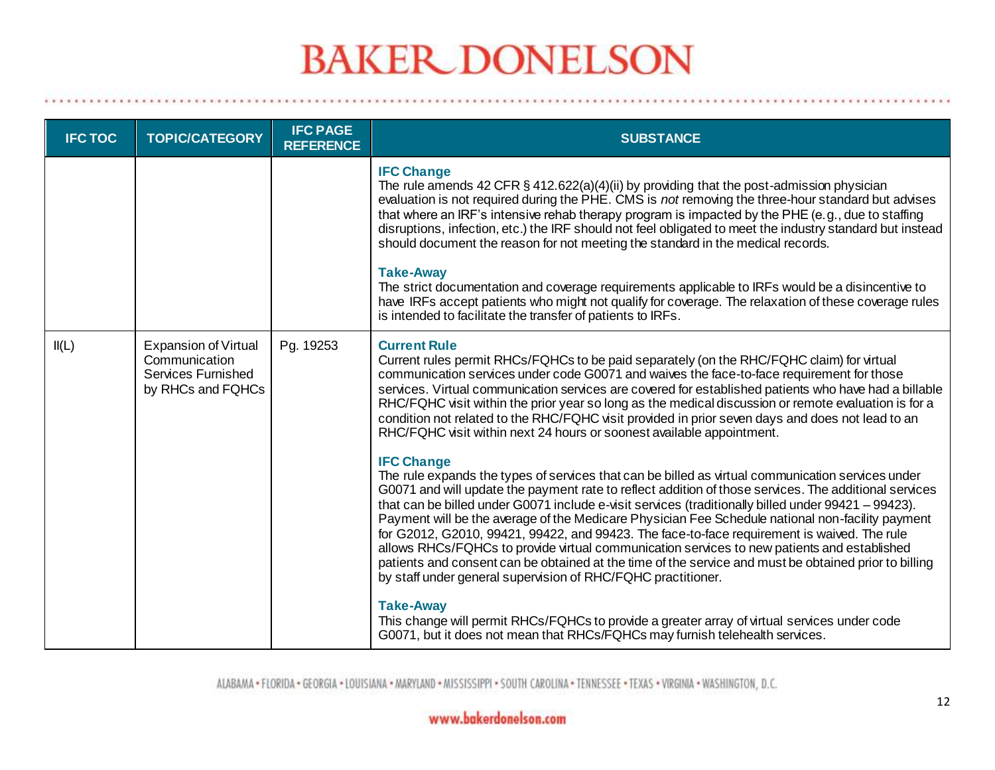| <b>IFC TOC</b> | <b>TOPIC/CATEGORY</b>                                                                          | <b>IFC PAGE</b><br><b>REFERENCE</b> | <b>SUBSTANCE</b>                                                                                                                                                                                                                                                                                                                                                                                                                                                                                                                                                                                                                                                                                                                                                                                                                                                                                                                                                                                                                                          |
|----------------|------------------------------------------------------------------------------------------------|-------------------------------------|-----------------------------------------------------------------------------------------------------------------------------------------------------------------------------------------------------------------------------------------------------------------------------------------------------------------------------------------------------------------------------------------------------------------------------------------------------------------------------------------------------------------------------------------------------------------------------------------------------------------------------------------------------------------------------------------------------------------------------------------------------------------------------------------------------------------------------------------------------------------------------------------------------------------------------------------------------------------------------------------------------------------------------------------------------------|
|                |                                                                                                |                                     | <b>IFC Change</b><br>The rule amends 42 CFR $\S$ 412.622(a)(4)(ii) by providing that the post-admission physician<br>evaluation is not required during the PHE. CMS is not removing the three-hour standard but advises<br>that where an IRF's intensive rehab therapy program is impacted by the PHE (e.g., due to staffing<br>disruptions, infection, etc.) the IRF should not feel obligated to meet the industry standard but instead<br>should document the reason for not meeting the standard in the medical records.<br><b>Take-Away</b><br>The strict documentation and coverage requirements applicable to IRFs would be a disincentive to<br>have IRFs accept patients who might not qualify for coverage. The relaxation of these coverage rules<br>is intended to facilitate the transfer of patients to IRFs.                                                                                                                                                                                                                               |
| II(L)          | <b>Expansion of Virtual</b><br>Communication<br><b>Services Furnished</b><br>by RHCs and FQHCs | Pg. 19253                           | <b>Current Rule</b><br>Current rules permit RHCs/FQHCs to be paid separately (on the RHC/FQHC claim) for virtual<br>communication services under code G0071 and waives the face-to-face requirement for those<br>services. Virtual communication services are covered for established patients who have had a billable<br>RHC/FQHC visit within the prior year so long as the medical discussion or remote evaluation is for a<br>condition not related to the RHC/FQHC visit provided in prior seven days and does not lead to an<br>RHC/FQHC visit within next 24 hours or soonest available appointment.<br><b>IFC Change</b><br>The rule expands the types of services that can be billed as virtual communication services under<br>G0071 and will update the payment rate to reflect addition of those services. The additional services<br>that can be billed under G0071 include e-visit services (traditionally billed under 99421 - 99423).<br>Payment will be the average of the Medicare Physician Fee Schedule national non-facility payment |
|                |                                                                                                |                                     | for G2012, G2010, 99421, 99422, and 99423. The face-to-face requirement is waived. The rule<br>allows RHCs/FQHCs to provide virtual communication services to new patients and established<br>patients and consent can be obtained at the time of the service and must be obtained prior to billing<br>by staff under general supervision of RHC/FQHC practitioner.<br><b>Take-Away</b><br>This change will permit RHCs/FQHCs to provide a greater array of virtual services under code<br>G0071, but it does not mean that RHCs/FQHCs may furnish telehealth services.                                                                                                                                                                                                                                                                                                                                                                                                                                                                                   |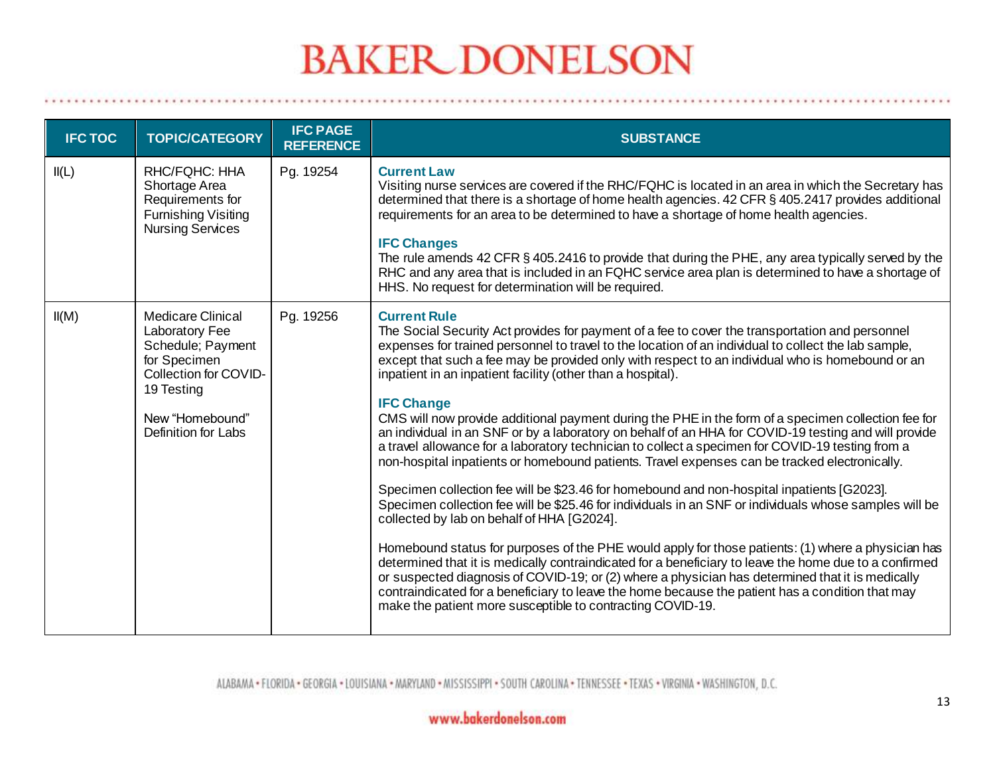| <b>IFC TOC</b> | <b>TOPIC/CATEGORY</b>                                                                                                                                            | <b>IFC PAGE</b><br><b>REFERENCE</b> | <b>SUBSTANCE</b>                                                                                                                                                                                                                                                                                                                                                                                                                                                                                                                                                                                                                                                                                                                                                                                                                                                                                                                                                                                                                                                                                                                                                                                                                                                                                                                                                                                                                                                                                                                                                                       |
|----------------|------------------------------------------------------------------------------------------------------------------------------------------------------------------|-------------------------------------|----------------------------------------------------------------------------------------------------------------------------------------------------------------------------------------------------------------------------------------------------------------------------------------------------------------------------------------------------------------------------------------------------------------------------------------------------------------------------------------------------------------------------------------------------------------------------------------------------------------------------------------------------------------------------------------------------------------------------------------------------------------------------------------------------------------------------------------------------------------------------------------------------------------------------------------------------------------------------------------------------------------------------------------------------------------------------------------------------------------------------------------------------------------------------------------------------------------------------------------------------------------------------------------------------------------------------------------------------------------------------------------------------------------------------------------------------------------------------------------------------------------------------------------------------------------------------------------|
| II(L)          | RHC/FQHC: HHA<br>Shortage Area<br>Requirements for<br><b>Furnishing Visiting</b><br><b>Nursing Services</b>                                                      | Pg. 19254                           | <b>Current Law</b><br>Visiting nurse services are covered if the RHC/FQHC is located in an area in which the Secretary has<br>determined that there is a shortage of home health agencies. 42 CFR § 405.2417 provides additional<br>requirements for an area to be determined to have a shortage of home health agencies.<br><b>IFC Changes</b><br>The rule amends 42 CFR § 405.2416 to provide that during the PHE, any area typically served by the<br>RHC and any area that is included in an FQHC service area plan is determined to have a shortage of<br>HHS. No request for determination will be required.                                                                                                                                                                                                                                                                                                                                                                                                                                                                                                                                                                                                                                                                                                                                                                                                                                                                                                                                                                     |
| II(M)          | <b>Medicare Clinical</b><br>Laboratory Fee<br>Schedule; Payment<br>for Specimen<br>Collection for COVID-<br>19 Testing<br>New "Homebound"<br>Definition for Labs | Pg. 19256                           | <b>Current Rule</b><br>The Social Security Act provides for payment of a fee to cover the transportation and personnel<br>expenses for trained personnel to travel to the location of an individual to collect the lab sample,<br>except that such a fee may be provided only with respect to an individual who is homebound or an<br>inpatient in an inpatient facility (other than a hospital).<br><b>IFC Change</b><br>CMS will now provide additional payment during the PHE in the form of a specimen collection fee for<br>an individual in an SNF or by a laboratory on behalf of an HHA for COVID-19 testing and will provide<br>a travel allowance for a laboratory technician to collect a specimen for COVID-19 testing from a<br>non-hospital inpatients or homebound patients. Travel expenses can be tracked electronically.<br>Specimen collection fee will be \$23.46 for homebound and non-hospital inpatients [G2023].<br>Specimen collection fee will be \$25.46 for individuals in an SNF or individuals whose samples will be<br>collected by lab on behalf of HHA [G2024].<br>Homebound status for purposes of the PHE would apply for those patients: (1) where a physician has<br>determined that it is medically contraindicated for a beneficiary to leave the home due to a confirmed<br>or suspected diagnosis of COVID-19; or (2) where a physician has determined that it is medically<br>contraindicated for a beneficiary to leave the home because the patient has a condition that may<br>make the patient more susceptible to contracting COVID-19. |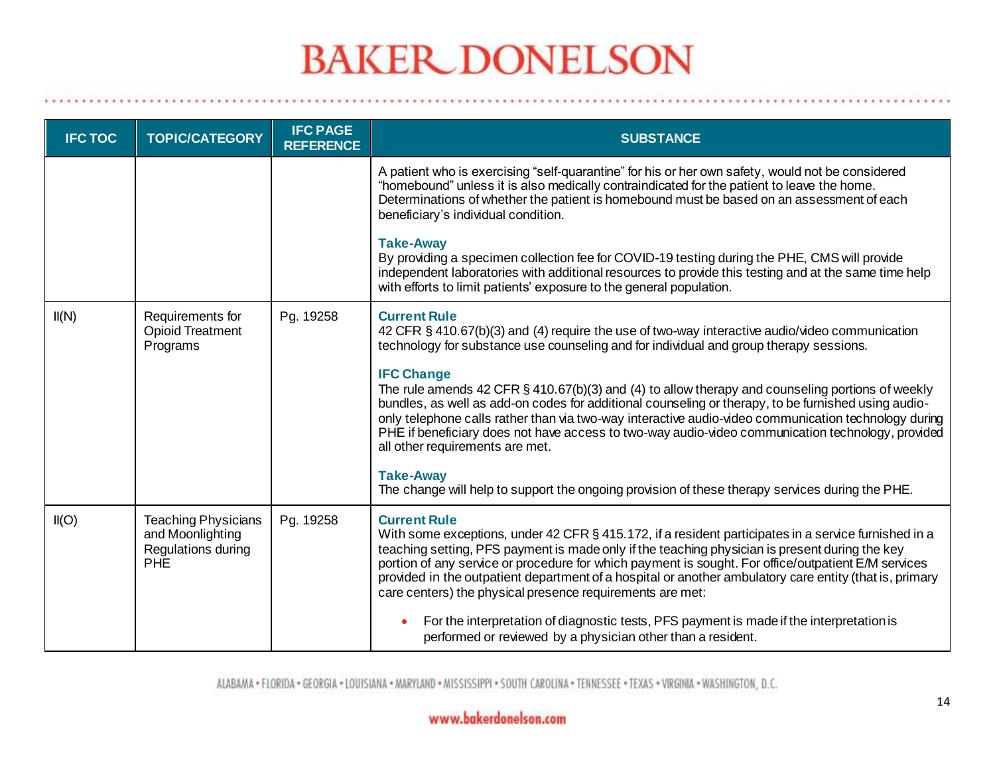| <b>IFC TOC</b> | <b>TOPIC/CATEGORY</b>                                                              | <b>IFC PAGE</b><br><b>REFERENCE</b> | <b>SUBSTANCE</b>                                                                                                                                                                                                                                                                                                                                                                                                                                                                                             |
|----------------|------------------------------------------------------------------------------------|-------------------------------------|--------------------------------------------------------------------------------------------------------------------------------------------------------------------------------------------------------------------------------------------------------------------------------------------------------------------------------------------------------------------------------------------------------------------------------------------------------------------------------------------------------------|
|                |                                                                                    |                                     | A patient who is exercising "self-quarantine" for his or her own safety, would not be considered<br>"homebound" unless it is also medically contraindicated for the patient to leave the home.<br>Determinations of whether the patient is homebound must be based on an assessment of each<br>beneficiary's individual condition.                                                                                                                                                                           |
|                |                                                                                    |                                     | <b>Take-Away</b><br>By providing a specimen collection fee for COVID-19 testing during the PHE, CMS will provide<br>independent laboratories with additional resources to provide this testing and at the same time help<br>with efforts to limit patients' exposure to the general population.                                                                                                                                                                                                              |
| II(N)          | Requirements for<br><b>Opioid Treatment</b><br>Programs                            | Pg. 19258                           | <b>Current Rule</b><br>42 CFR § 410.67(b)(3) and (4) require the use of two-way interactive audio/video communication<br>technology for substance use counseling and for individual and group therapy sessions.                                                                                                                                                                                                                                                                                              |
|                |                                                                                    |                                     | <b>IFC Change</b><br>The rule amends 42 CFR $\S$ 410.67(b)(3) and (4) to allow therapy and counseling portions of weekly<br>bundles, as well as add-on codes for additional counseling or therapy, to be furnished using audio-<br>only telephone calls rather than via two-way interactive audio-video communication technology during<br>PHE if beneficiary does not have access to two-way audio-video communication technology, provided<br>all other requirements are met.                              |
|                |                                                                                    |                                     | <b>Take-Away</b><br>The change will help to support the ongoing provision of these therapy services during the PHE.                                                                                                                                                                                                                                                                                                                                                                                          |
| II(O)          | <b>Teaching Physicians</b><br>and Moonlighting<br>Regulations during<br><b>PHE</b> | Pg. 19258                           | <b>Current Rule</b><br>With some exceptions, under 42 CFR § 415.172, if a resident participates in a service furnished in a<br>teaching setting, PFS payment is made only if the teaching physician is present during the key<br>portion of any service or procedure for which payment is sought. For office/outpatient E/M services<br>provided in the outpatient department of a hospital or another ambulatory care entity (that is, primary<br>care centers) the physical presence requirements are met: |
|                |                                                                                    |                                     | For the interpretation of diagnostic tests, PFS payment is made if the interpretation is<br>performed or reviewed by a physician other than a resident.                                                                                                                                                                                                                                                                                                                                                      |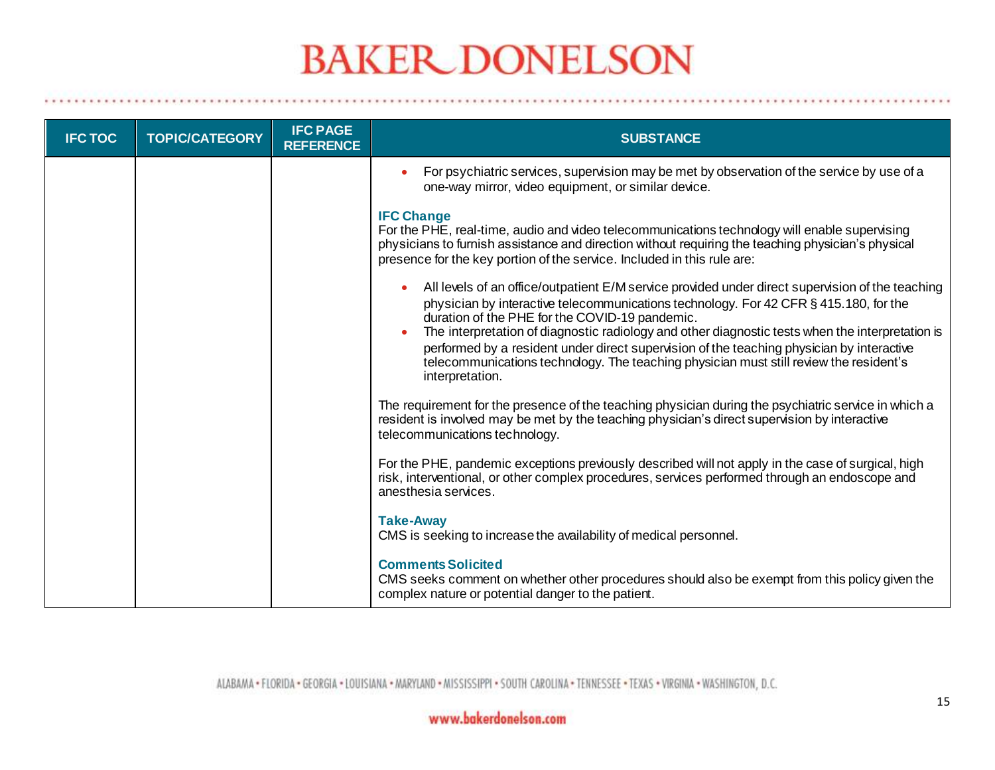| <b>IFC TOC</b> | <b>TOPIC/CATEGORY</b> | <b>IFC PAGE</b><br><b>REFERENCE</b> | <b>SUBSTANCE</b>                                                                                                                                                                                                                                                                                                                                                                                                                                                                                                                                                       |
|----------------|-----------------------|-------------------------------------|------------------------------------------------------------------------------------------------------------------------------------------------------------------------------------------------------------------------------------------------------------------------------------------------------------------------------------------------------------------------------------------------------------------------------------------------------------------------------------------------------------------------------------------------------------------------|
|                |                       |                                     | For psychiatric services, supervision may be met by observation of the service by use of a<br>$\bullet$<br>one-way mirror, video equipment, or similar device.                                                                                                                                                                                                                                                                                                                                                                                                         |
|                |                       |                                     | <b>IFC Change</b><br>For the PHE, real-time, audio and video telecommunications technology will enable supervising<br>physicians to furnish assistance and direction without requiring the teaching physician's physical<br>presence for the key portion of the service. Included in this rule are:                                                                                                                                                                                                                                                                    |
|                |                       |                                     | All levels of an office/outpatient E/M service provided under direct supervision of the teaching<br>$\bullet$<br>physician by interactive telecommunications technology. For 42 CFR § 415.180, for the<br>duration of the PHE for the COVID-19 pandemic.<br>The interpretation of diagnostic radiology and other diagnostic tests when the interpretation is<br>performed by a resident under direct supervision of the teaching physician by interactive<br>telecommunications technology. The teaching physician must still review the resident's<br>interpretation. |
|                |                       |                                     | The requirement for the presence of the teaching physician during the psychiatric service in which a<br>resident is involved may be met by the teaching physician's direct supervision by interactive<br>telecommunications technology.                                                                                                                                                                                                                                                                                                                                |
|                |                       |                                     | For the PHE, pandemic exceptions previously described will not apply in the case of surgical, high<br>risk, interventional, or other complex procedures, services performed through an endoscope and<br>anesthesia services.                                                                                                                                                                                                                                                                                                                                           |
|                |                       |                                     | <b>Take-Away</b><br>CMS is seeking to increase the availability of medical personnel.                                                                                                                                                                                                                                                                                                                                                                                                                                                                                  |
|                |                       |                                     | <b>Comments Solicited</b><br>CMS seeks comment on whether other procedures should also be exempt from this policy given the<br>complex nature or potential danger to the patient.                                                                                                                                                                                                                                                                                                                                                                                      |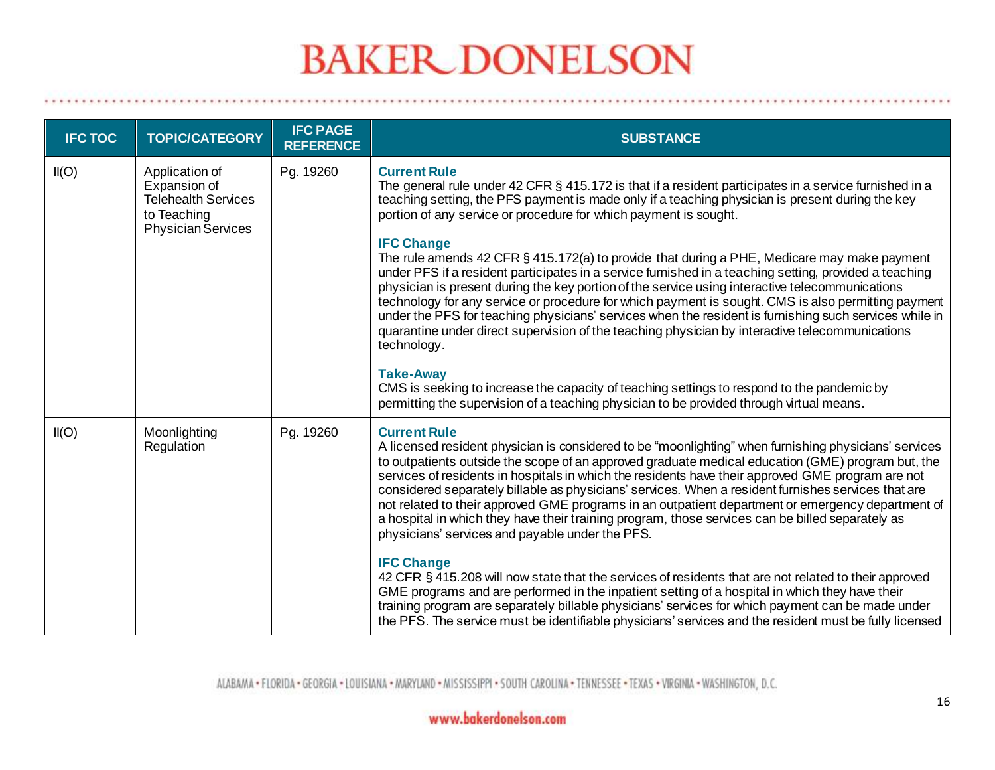| <b>IFC TOC</b> | <b>TOPIC/CATEGORY</b>                                                                                    | <b>IFC PAGE</b><br><b>REFERENCE</b> | <b>SUBSTANCE</b>                                                                                                                                                                                                                                                                                                                                                                                                                                                                                                                                                                                                                                                                                                                                                                                                                                                                                                                                                                                                                                                                                                                                                                        |
|----------------|----------------------------------------------------------------------------------------------------------|-------------------------------------|-----------------------------------------------------------------------------------------------------------------------------------------------------------------------------------------------------------------------------------------------------------------------------------------------------------------------------------------------------------------------------------------------------------------------------------------------------------------------------------------------------------------------------------------------------------------------------------------------------------------------------------------------------------------------------------------------------------------------------------------------------------------------------------------------------------------------------------------------------------------------------------------------------------------------------------------------------------------------------------------------------------------------------------------------------------------------------------------------------------------------------------------------------------------------------------------|
| II(O)          | Application of<br>Expansion of<br><b>Telehealth Services</b><br>to Teaching<br><b>Physician Services</b> | Pg. 19260                           | <b>Current Rule</b><br>The general rule under 42 CFR § 415.172 is that if a resident participates in a service furnished in a<br>teaching setting, the PFS payment is made only if a teaching physician is present during the key<br>portion of any service or procedure for which payment is sought.<br><b>IFC Change</b><br>The rule amends 42 CFR § 415.172(a) to provide that during a PHE, Medicare may make payment<br>under PFS if a resident participates in a service furnished in a teaching setting, provided a teaching<br>physician is present during the key portion of the service using interactive telecommunications<br>technology for any service or procedure for which payment is sought. CMS is also permitting payment<br>under the PFS for teaching physicians' services when the resident is furnishing such services while in<br>quarantine under direct supervision of the teaching physician by interactive telecommunications<br>technology.<br><b>Take-Away</b><br>CMS is seeking to increase the capacity of teaching settings to respond to the pandemic by<br>permitting the supervision of a teaching physician to be provided through virtual means. |
| II(O)          | Moonlighting<br>Regulation                                                                               | Pg. 19260                           | <b>Current Rule</b><br>A licensed resident physician is considered to be "moonlighting" when furnishing physicians' services<br>to outpatients outside the scope of an approved graduate medical education (GME) program but, the<br>services of residents in hospitals in which the residents have their approved GME program are not<br>considered separately billable as physicians' services. When a resident furnishes services that are<br>not related to their approved GME programs in an outpatient department or emergency department of<br>a hospital in which they have their training program, those services can be billed separately as<br>physicians' services and payable under the PFS.<br><b>IFC Change</b><br>42 CFR § 415.208 will now state that the services of residents that are not related to their approved<br>GME programs and are performed in the inpatient setting of a hospital in which they have their<br>training program are separately billable physicians' services for which payment can be made under<br>the PFS. The service must be identifiable physicians' services and the resident must be fully licensed                                |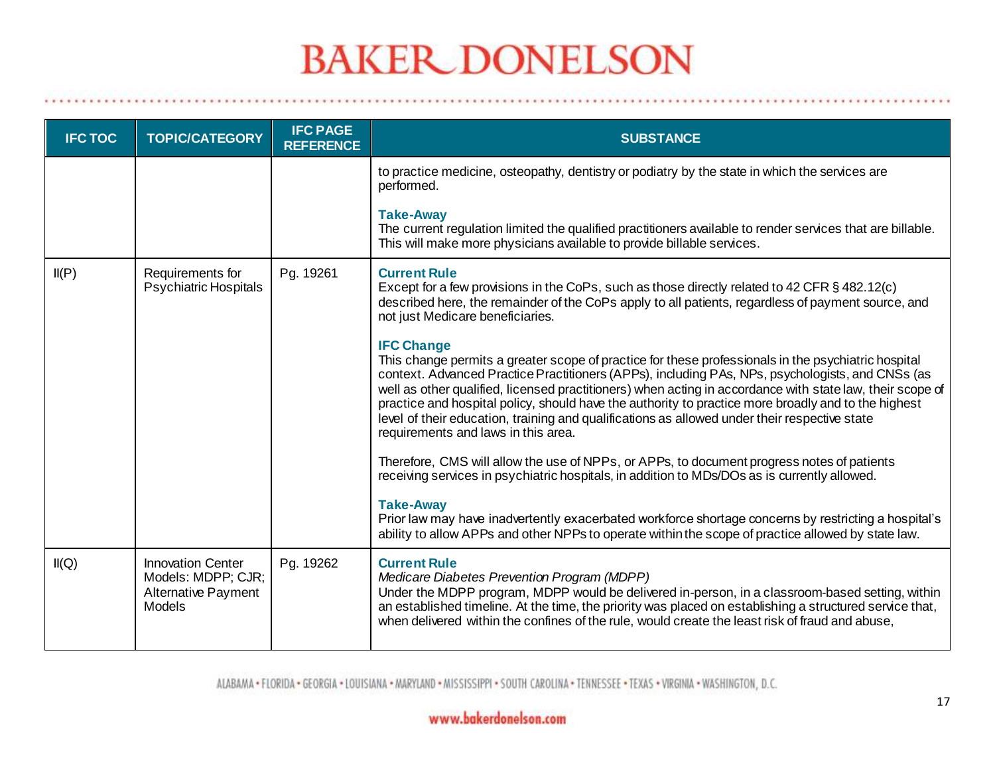. . . . . . .

| <b>IFC TOC</b> | <b>TOPIC/CATEGORY</b>                                                                         | <b>IFC PAGE</b><br><b>REFERENCE</b> | <b>SUBSTANCE</b>                                                                                                                                                                                                                                                                                                                                                                                                                                                                                                                                                                         |
|----------------|-----------------------------------------------------------------------------------------------|-------------------------------------|------------------------------------------------------------------------------------------------------------------------------------------------------------------------------------------------------------------------------------------------------------------------------------------------------------------------------------------------------------------------------------------------------------------------------------------------------------------------------------------------------------------------------------------------------------------------------------------|
|                |                                                                                               |                                     | to practice medicine, osteopathy, dentistry or podiatry by the state in which the services are<br>performed.                                                                                                                                                                                                                                                                                                                                                                                                                                                                             |
|                |                                                                                               |                                     | <b>Take-Away</b><br>The current regulation limited the qualified practitioners available to render services that are billable.<br>This will make more physicians available to provide billable services.                                                                                                                                                                                                                                                                                                                                                                                 |
| II(P)          | Requirements for<br><b>Psychiatric Hospitals</b>                                              | Pg. 19261                           | <b>Current Rule</b><br>Except for a few provisions in the CoPs, such as those directly related to 42 CFR § 482.12(c)<br>described here, the remainder of the CoPs apply to all patients, regardless of payment source, and<br>not just Medicare beneficiaries.                                                                                                                                                                                                                                                                                                                           |
|                |                                                                                               |                                     | <b>IFC Change</b><br>This change permits a greater scope of practice for these professionals in the psychiatric hospital<br>context. Advanced Practice Practitioners (APPs), including PAs, NPs, psychologists, and CNSs (as<br>well as other qualified, licensed practitioners) when acting in accordance with state law, their scope of<br>practice and hospital policy, should have the authority to practice more broadly and to the highest<br>level of their education, training and qualifications as allowed under their respective state<br>requirements and laws in this area. |
|                |                                                                                               |                                     | Therefore, CMS will allow the use of NPPs, or APPs, to document progress notes of patients<br>receiving services in psychiatric hospitals, in addition to MDs/DOs as is currently allowed.                                                                                                                                                                                                                                                                                                                                                                                               |
|                |                                                                                               |                                     | <b>Take-Away</b><br>Prior law may have inadvertently exacerbated workforce shortage concerns by restricting a hospital's<br>ability to allow APPs and other NPPs to operate within the scope of practice allowed by state law.                                                                                                                                                                                                                                                                                                                                                           |
| II(Q)          | <b>Innovation Center</b><br>Models: MDPP; CJR;<br><b>Alternative Payment</b><br><b>Models</b> | Pg. 19262                           | <b>Current Rule</b><br>Medicare Diabetes Prevention Program (MDPP)<br>Under the MDPP program, MDPP would be delivered in-person, in a classroom-based setting, within<br>an established timeline. At the time, the priority was placed on establishing a structured service that,<br>when delivered within the confines of the rule, would create the least risk of fraud and abuse,                                                                                                                                                                                                     |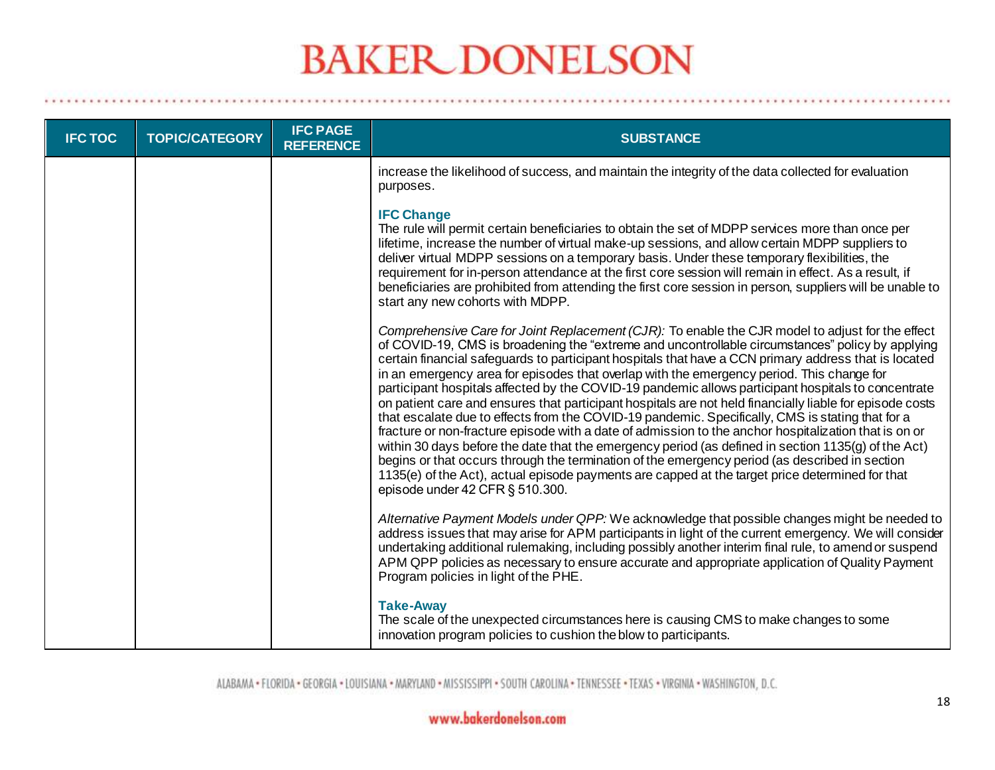| <b>IFC TOC</b> | <b>TOPIC/CATEGORY</b> | <b>IFC PAGE</b><br><b>REFERENCE</b> | <b>SUBSTANCE</b>                                                                                                                                                                                                                                                                                                                                                                                                                                                                                                                                                                                                                                                                                                                                                                                                                                                                                                                                                                                                                                                                                                                                                                          |
|----------------|-----------------------|-------------------------------------|-------------------------------------------------------------------------------------------------------------------------------------------------------------------------------------------------------------------------------------------------------------------------------------------------------------------------------------------------------------------------------------------------------------------------------------------------------------------------------------------------------------------------------------------------------------------------------------------------------------------------------------------------------------------------------------------------------------------------------------------------------------------------------------------------------------------------------------------------------------------------------------------------------------------------------------------------------------------------------------------------------------------------------------------------------------------------------------------------------------------------------------------------------------------------------------------|
|                |                       |                                     | increase the likelihood of success, and maintain the integrity of the data collected for evaluation<br>purposes.                                                                                                                                                                                                                                                                                                                                                                                                                                                                                                                                                                                                                                                                                                                                                                                                                                                                                                                                                                                                                                                                          |
|                |                       |                                     | <b>IFC Change</b><br>The rule will permit certain beneficiaries to obtain the set of MDPP services more than once per<br>lifetime, increase the number of virtual make-up sessions, and allow certain MDPP suppliers to<br>deliver virtual MDPP sessions on a temporary basis. Under these temporary flexibilities, the<br>requirement for in-person attendance at the first core session will remain in effect. As a result, if<br>beneficiaries are prohibited from attending the first core session in person, suppliers will be unable to<br>start any new cohorts with MDPP.                                                                                                                                                                                                                                                                                                                                                                                                                                                                                                                                                                                                         |
|                |                       |                                     | Comprehensive Care for Joint Replacement (CJR): To enable the CJR model to adjust for the effect<br>of COVID-19, CMS is broadening the "extreme and uncontrollable circumstances" policy by applying<br>certain financial safeguards to participant hospitals that have a CCN primary address that is located<br>in an emergency area for episodes that overlap with the emergency period. This change for<br>participant hospitals affected by the COVID-19 pandemic allows participant hospitals to concentrate<br>on patient care and ensures that participant hospitals are not held financially liable for episode costs<br>that escalate due to effects from the COVID-19 pandemic. Specifically, CMS is stating that for a<br>fracture or non-fracture episode with a date of admission to the anchor hospitalization that is on or<br>within 30 days before the date that the emergency period (as defined in section 1135(g) of the Act)<br>begins or that occurs through the termination of the emergency period (as described in section<br>1135(e) of the Act), actual episode payments are capped at the target price determined for that<br>episode under 42 CFR § 510.300. |
|                |                       |                                     | Alternative Payment Models under QPP: We acknowledge that possible changes might be needed to<br>address issues that may arise for APM participants in light of the current emergency. We will consider<br>undertaking additional rulemaking, including possibly another interim final rule, to amend or suspend<br>APM QPP policies as necessary to ensure accurate and appropriate application of Quality Payment<br>Program policies in light of the PHE.                                                                                                                                                                                                                                                                                                                                                                                                                                                                                                                                                                                                                                                                                                                              |
|                |                       |                                     | <b>Take-Away</b><br>The scale of the unexpected circumstances here is causing CMS to make changes to some<br>innovation program policies to cushion the blow to participants.                                                                                                                                                                                                                                                                                                                                                                                                                                                                                                                                                                                                                                                                                                                                                                                                                                                                                                                                                                                                             |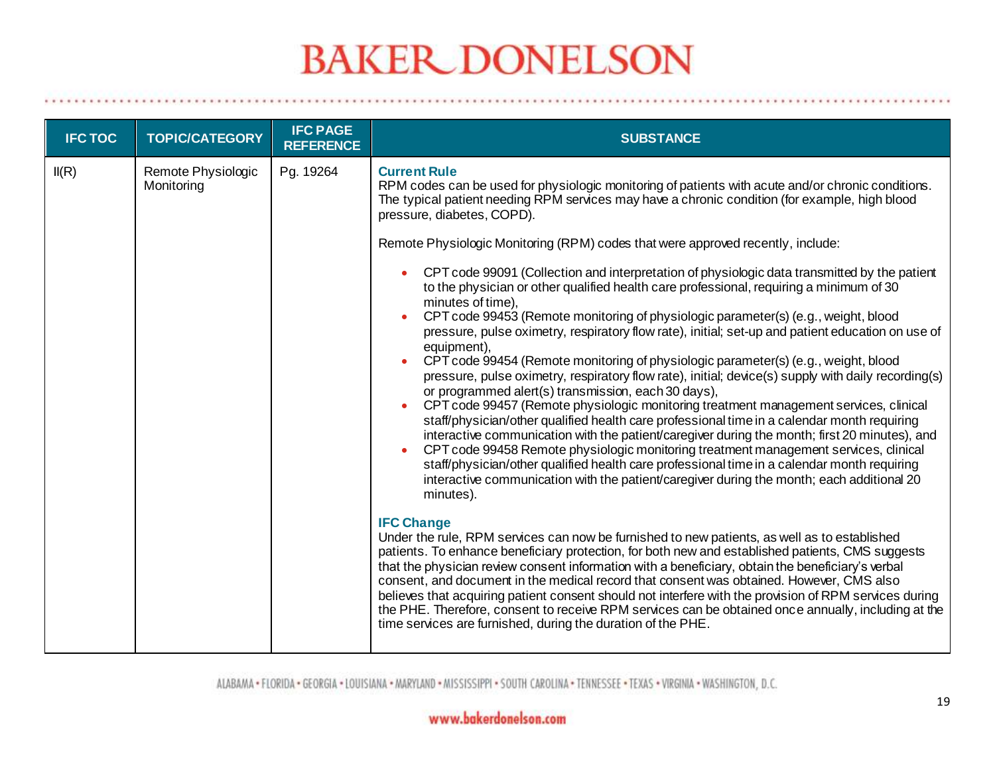| <b>IFC TOC</b> | <b>TOPIC/CATEGORY</b>            | <b>IFC PAGE</b><br><b>REFERENCE</b> | <b>SUBSTANCE</b>                                                                                                                                                                                                                                                                                                                                                                                                                                                                                                                                                                                                                                                                                                                                                                                                                                                                                                                                                                                                                                                                                                                                                                                                                                                                                                                                                                                                                                                                                                                                                                                                                                                                                                                                                                                                                                                                                                                                                                                                                                                                                                                                                                                                                                                                                                                             |
|----------------|----------------------------------|-------------------------------------|----------------------------------------------------------------------------------------------------------------------------------------------------------------------------------------------------------------------------------------------------------------------------------------------------------------------------------------------------------------------------------------------------------------------------------------------------------------------------------------------------------------------------------------------------------------------------------------------------------------------------------------------------------------------------------------------------------------------------------------------------------------------------------------------------------------------------------------------------------------------------------------------------------------------------------------------------------------------------------------------------------------------------------------------------------------------------------------------------------------------------------------------------------------------------------------------------------------------------------------------------------------------------------------------------------------------------------------------------------------------------------------------------------------------------------------------------------------------------------------------------------------------------------------------------------------------------------------------------------------------------------------------------------------------------------------------------------------------------------------------------------------------------------------------------------------------------------------------------------------------------------------------------------------------------------------------------------------------------------------------------------------------------------------------------------------------------------------------------------------------------------------------------------------------------------------------------------------------------------------------------------------------------------------------------------------------------------------------|
| II(R)          | Remote Physiologic<br>Monitoring | Pg. 19264                           | <b>Current Rule</b><br>RPM codes can be used for physiologic monitoring of patients with acute and/or chronic conditions.<br>The typical patient needing RPM services may have a chronic condition (for example, high blood<br>pressure, diabetes, COPD).<br>Remote Physiologic Monitoring (RPM) codes that were approved recently, include:<br>CPT code 99091 (Collection and interpretation of physiologic data transmitted by the patient<br>$\bullet$<br>to the physician or other qualified health care professional, requiring a minimum of 30<br>minutes of time),<br>CPT code 99453 (Remote monitoring of physiologic parameter(s) (e.g., weight, blood<br>pressure, pulse oximetry, respiratory flow rate), initial; set-up and patient education on use of<br>equipment),<br>CPT code 99454 (Remote monitoring of physiologic parameter(s) (e.g., weight, blood<br>pressure, pulse oximetry, respiratory flow rate), initial; device(s) supply with daily recording(s)<br>or programmed alert(s) transmission, each 30 days),<br>CPT code 99457 (Remote physiologic monitoring treatment management services, clinical<br>staff/physician/other qualified health care professional time in a calendar month requiring<br>interactive communication with the patient/caregiver during the month; first 20 minutes), and<br>CPT code 99458 Remote physiologic monitoring treatment management services, clinical<br>staff/physician/other qualified health care professional time in a calendar month requiring<br>interactive communication with the patient/caregiver during the month; each additional 20<br>minutes).<br><b>IFC Change</b><br>Under the rule, RPM services can now be furnished to new patients, as well as to established<br>patients. To enhance beneficiary protection, for both new and established patients, CMS suggests<br>that the physician review consent information with a beneficiary, obtain the beneficiary's verbal<br>consent, and document in the medical record that consent was obtained. However, CMS also<br>believes that acquiring patient consent should not interfere with the provision of RPM services during<br>the PHE. Therefore, consent to receive RPM services can be obtained once annually, including at the<br>time services are furnished, during the duration of the PHE. |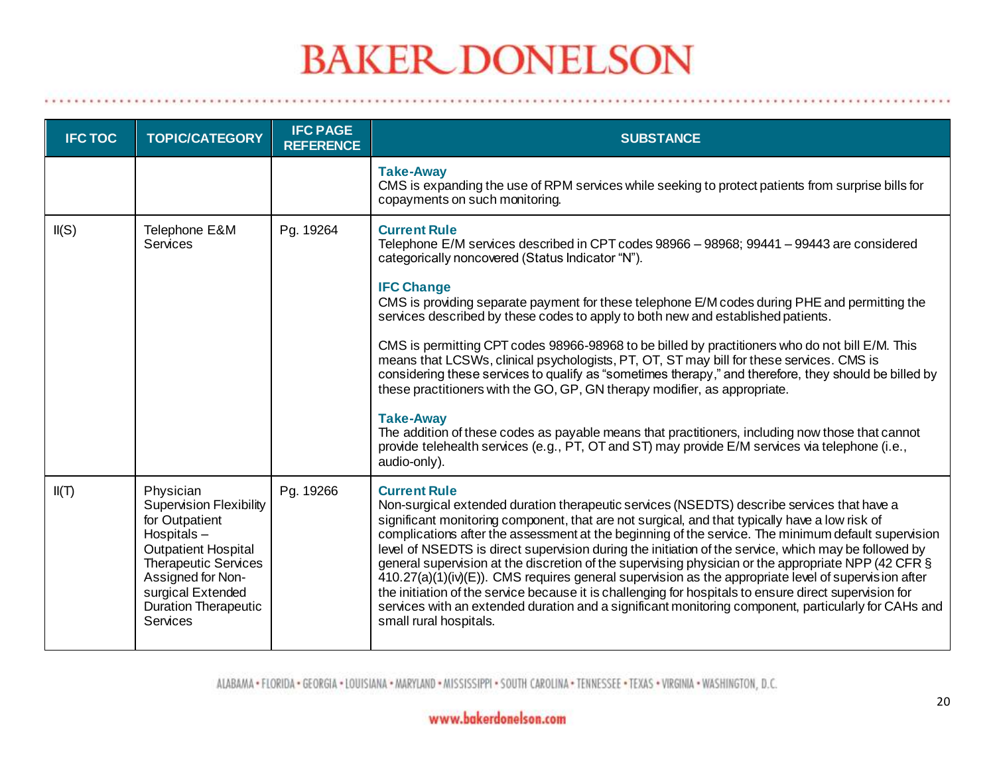| <b>IFC TOC</b> | <b>TOPIC/CATEGORY</b>                                                                                                                                                                                                                | <b>IFC PAGE</b><br><b>REFERENCE</b> | <b>SUBSTANCE</b>                                                                                                                                                                                                                                                                                                                                                                                                                                                                                                                                                                                                                                                                                                                                                                                                                                                                              |
|----------------|--------------------------------------------------------------------------------------------------------------------------------------------------------------------------------------------------------------------------------------|-------------------------------------|-----------------------------------------------------------------------------------------------------------------------------------------------------------------------------------------------------------------------------------------------------------------------------------------------------------------------------------------------------------------------------------------------------------------------------------------------------------------------------------------------------------------------------------------------------------------------------------------------------------------------------------------------------------------------------------------------------------------------------------------------------------------------------------------------------------------------------------------------------------------------------------------------|
|                |                                                                                                                                                                                                                                      |                                     | <b>Take-Away</b><br>CMS is expanding the use of RPM services while seeking to protect patients from surprise bills for<br>copayments on such monitoring.                                                                                                                                                                                                                                                                                                                                                                                                                                                                                                                                                                                                                                                                                                                                      |
| II(S)          | Telephone E&M<br>Services                                                                                                                                                                                                            | Pg. 19264                           | <b>Current Rule</b><br>Telephone E/M services described in CPT codes 98966 - 98968; 99441 - 99443 are considered<br>categorically noncovered (Status Indicator "N").<br><b>IFC Change</b>                                                                                                                                                                                                                                                                                                                                                                                                                                                                                                                                                                                                                                                                                                     |
|                |                                                                                                                                                                                                                                      |                                     | CMS is providing separate payment for these telephone E/M codes during PHE and permitting the<br>services described by these codes to apply to both new and established patients.                                                                                                                                                                                                                                                                                                                                                                                                                                                                                                                                                                                                                                                                                                             |
|                |                                                                                                                                                                                                                                      |                                     | CMS is permitting CPT codes 98966-98968 to be billed by practitioners who do not bill E/M. This<br>means that LCSWs, clinical psychologists, PT, OT, ST may bill for these services. CMS is<br>considering these services to qualify as "sometimes therapy," and therefore, they should be billed by<br>these practitioners with the GO, GP, GN therapy modifier, as appropriate.                                                                                                                                                                                                                                                                                                                                                                                                                                                                                                             |
|                |                                                                                                                                                                                                                                      |                                     | <b>Take-Away</b><br>The addition of these codes as payable means that practitioners, including now those that cannot<br>provide telehealth services (e.g., PT, OT and ST) may provide E/M services via telephone (i.e.,<br>audio-only).                                                                                                                                                                                                                                                                                                                                                                                                                                                                                                                                                                                                                                                       |
| II(T)          | Physician<br><b>Supervision Flexibility</b><br>for Outpatient<br>Hospitals-<br><b>Outpatient Hospital</b><br><b>Therapeutic Services</b><br>Assigned for Non-<br>surgical Extended<br><b>Duration Therapeutic</b><br><b>Services</b> | Pg. 19266                           | <b>Current Rule</b><br>Non-surgical extended duration therapeutic services (NSEDTS) describe services that have a<br>significant monitoring component, that are not surgical, and that typically have a low risk of<br>complications after the assessment at the beginning of the service. The minimum default supervision<br>level of NSEDTS is direct supervision during the initiation of the service, which may be followed by<br>general supervision at the discretion of the supervising physician or the appropriate NPP (42 CFR §<br>410.27(a)(1)(iv)(E)). CMS requires general supervision as the appropriate level of supervision after<br>the initiation of the service because it is challenging for hospitals to ensure direct supervision for<br>services with an extended duration and a significant monitoring component, particularly for CAHs and<br>small rural hospitals. |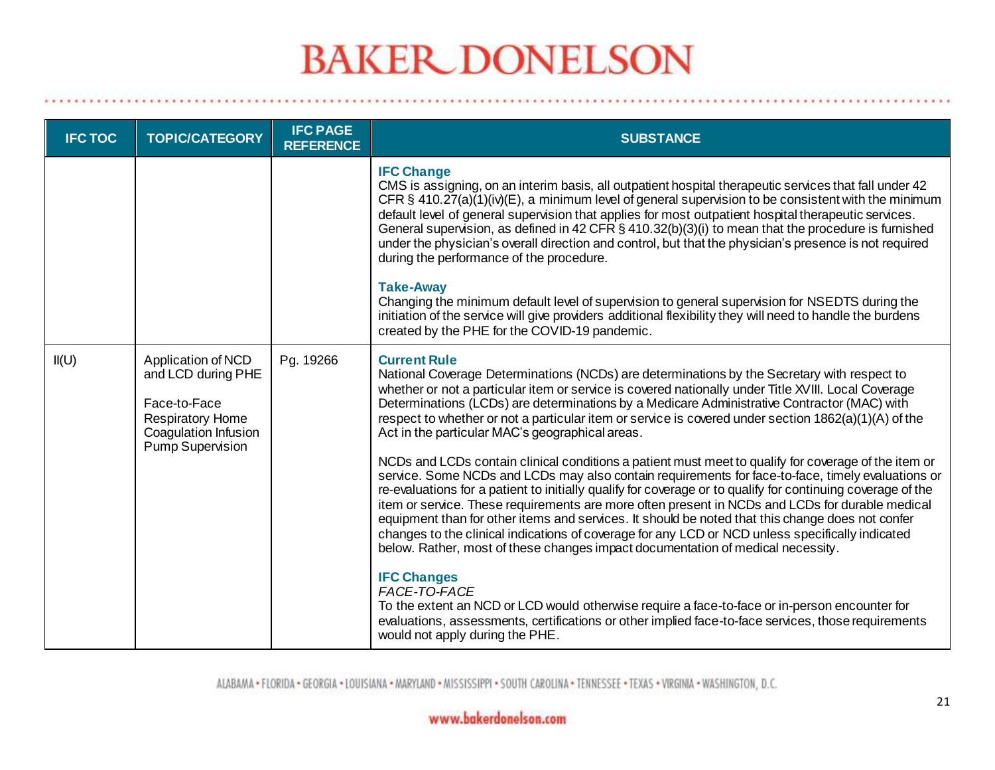| <b>IFC TOC</b> | <b>TOPIC/CATEGORY</b>                                                                                                                  | <b>IFC PAGE</b><br><b>REFERENCE</b> | <b>SUBSTANCE</b>                                                                                                                                                                                                                                                                                                                                                                                                                                                                                                                                                                                                                                                                                                       |
|----------------|----------------------------------------------------------------------------------------------------------------------------------------|-------------------------------------|------------------------------------------------------------------------------------------------------------------------------------------------------------------------------------------------------------------------------------------------------------------------------------------------------------------------------------------------------------------------------------------------------------------------------------------------------------------------------------------------------------------------------------------------------------------------------------------------------------------------------------------------------------------------------------------------------------------------|
|                |                                                                                                                                        |                                     | <b>IFC Change</b><br>CMS is assigning, on an interim basis, all outpatient hospital therapeutic services that fall under 42<br>CFR $\S$ 410.27(a)(1)(iv)(E), a minimum level of general supervision to be consistent with the minimum<br>default level of general supervision that applies for most outpatient hospital therapeutic services.<br>General supervision, as defined in 42 CFR § 410.32(b)(3)(i) to mean that the procedure is furnished<br>under the physician's overall direction and control, but that the physician's presence is not required<br>during the performance of the procedure.<br><b>Take-Away</b>                                                                                         |
|                |                                                                                                                                        |                                     | Changing the minimum default level of supervision to general supervision for NSEDTS during the<br>initiation of the service will give providers additional flexibility they will need to handle the burdens<br>created by the PHE for the COVID-19 pandemic.                                                                                                                                                                                                                                                                                                                                                                                                                                                           |
| II(U)          | Application of NCD<br>and LCD during PHE<br>Face-to-Face<br><b>Respiratory Home</b><br>Coagulation Infusion<br><b>Pump Supervision</b> | Pg. 19266                           | <b>Current Rule</b><br>National Coverage Determinations (NCDs) are determinations by the Secretary with respect to<br>whether or not a particular item or service is covered nationally under Title XVIII. Local Coverage<br>Determinations (LCDs) are determinations by a Medicare Administrative Contractor (MAC) with<br>respect to whether or not a particular item or service is covered under section 1862(a)(1)(A) of the<br>Act in the particular MAC's geographical areas.                                                                                                                                                                                                                                    |
|                |                                                                                                                                        |                                     | NCDs and LCDs contain clinical conditions a patient must meet to qualify for coverage of the item or<br>service. Some NCDs and LCDs may also contain requirements for face-to-face, timely evaluations or<br>re-evaluations for a patient to initially qualify for coverage or to qualify for continuing coverage of the<br>item or service. These requirements are more often present in NCDs and LCDs for durable medical<br>equipment than for other items and services. It should be noted that this change does not confer<br>changes to the clinical indications of coverage for any LCD or NCD unless specifically indicated<br>below. Rather, most of these changes impact documentation of medical necessity. |
|                |                                                                                                                                        |                                     | <b>IFC Changes</b><br>FACE-TO-FACE<br>To the extent an NCD or LCD would otherwise require a face-to-face or in-person encounter for<br>evaluations, assessments, certifications or other implied face-to-face services, those requirements<br>would not apply during the PHE.                                                                                                                                                                                                                                                                                                                                                                                                                                          |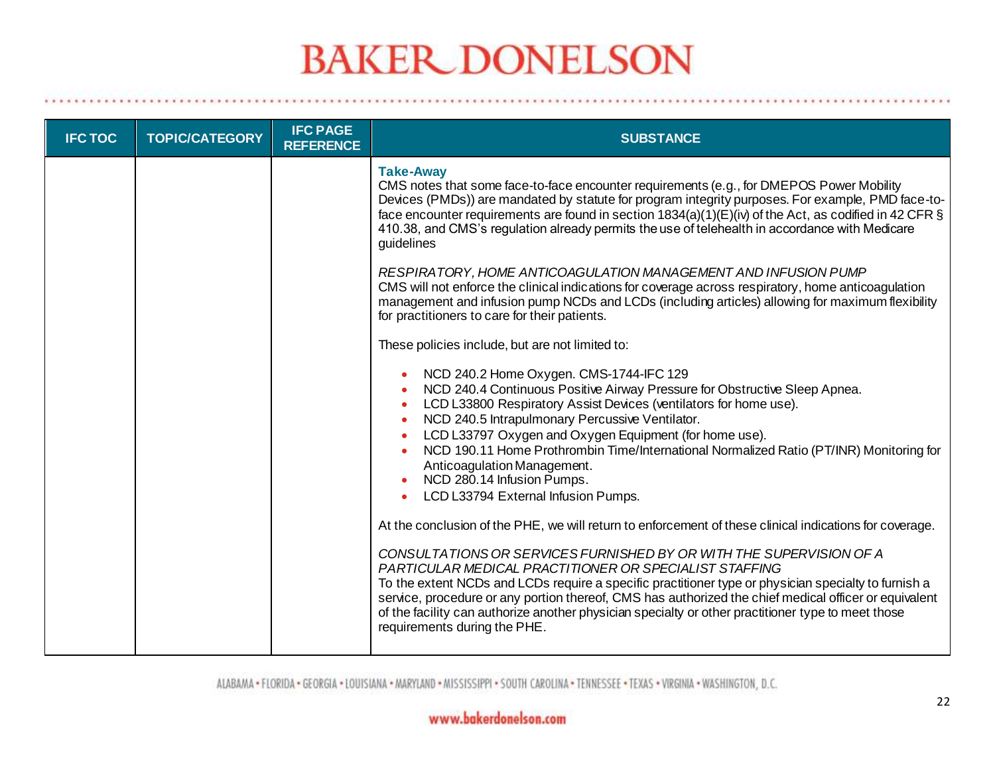| <b>IFC TOC</b> | <b>TOPIC/CATEGORY</b> | <b>IFC PAGE</b><br><b>REFERENCE</b> | <b>SUBSTANCE</b>                                                                                                                                                                                                                                                                                                                                                                                                                                                                                                                              |
|----------------|-----------------------|-------------------------------------|-----------------------------------------------------------------------------------------------------------------------------------------------------------------------------------------------------------------------------------------------------------------------------------------------------------------------------------------------------------------------------------------------------------------------------------------------------------------------------------------------------------------------------------------------|
|                |                       |                                     | <b>Take-Away</b><br>CMS notes that some face-to-face encounter requirements (e.g., for DMEPOS Power Mobility<br>Devices (PMDs)) are mandated by statute for program integrity purposes. For example, PMD face-to-<br>face encounter requirements are found in section 1834(a)(1)(E)(iv) of the Act, as codified in 42 CFR §<br>410.38, and CMS's regulation already permits the use of telehealth in accordance with Medicare<br>guidelines<br>RESPIRATORY, HOME ANTICOAGULATION MANAGEMENT AND INFUSION PUMP                                 |
|                |                       |                                     | CMS will not enforce the clinical indications for coverage across respiratory, home anticoagulation<br>management and infusion pump NCDs and LCDs (including articles) allowing for maximum flexibility<br>for practitioners to care for their patients.                                                                                                                                                                                                                                                                                      |
|                |                       |                                     | These policies include, but are not limited to:                                                                                                                                                                                                                                                                                                                                                                                                                                                                                               |
|                |                       |                                     | NCD 240.2 Home Oxygen. CMS-1744-IFC 129<br>NCD 240.4 Continuous Positive Airway Pressure for Obstructive Sleep Apnea.<br>$\bullet$<br>LCD L33800 Respiratory Assist Devices (ventilators for home use).<br>$\bullet$<br>NCD 240.5 Intrapulmonary Percussive Ventilator.<br>$\bullet$<br>LCD L33797 Oxygen and Oxygen Equipment (for home use).<br>NCD 190.11 Home Prothrombin Time/International Normalized Ratio (PT/INR) Monitoring for<br>Anticoagulation Management.<br>NCD 280.14 Infusion Pumps.<br>LCD L33794 External Infusion Pumps. |
|                |                       |                                     | At the conclusion of the PHE, we will return to enforcement of these clinical indications for coverage.                                                                                                                                                                                                                                                                                                                                                                                                                                       |
|                |                       |                                     | CONSULTATIONS OR SERVICES FURNISHED BY OR WITH THE SUPERVISION OF A<br>PARTICULAR MEDICAL PRACTITIONER OR SPECIALIST STAFFING<br>To the extent NCDs and LCDs require a specific practitioner type or physician specialty to furnish a<br>service, procedure or any portion thereof, CMS has authorized the chief medical officer or equivalent<br>of the facility can authorize another physician specialty or other practitioner type to meet those<br>requirements during the PHE.                                                          |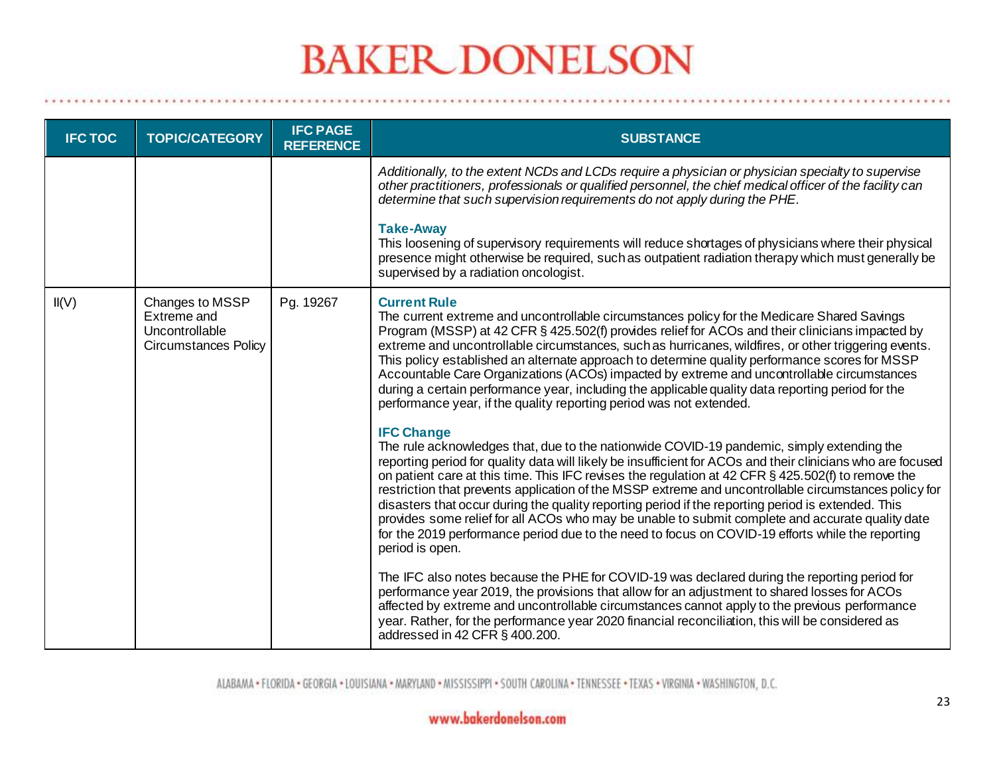| <b>IFC TOC</b> | <b>TOPIC/CATEGORY</b>                                                           | <b>IFC PAGE</b><br><b>REFERENCE</b> | <b>SUBSTANCE</b>                                                                                                                                                                                                                                                                                                                                                                                                                                                                                                                                                                                                                                                                                                                                                              |
|----------------|---------------------------------------------------------------------------------|-------------------------------------|-------------------------------------------------------------------------------------------------------------------------------------------------------------------------------------------------------------------------------------------------------------------------------------------------------------------------------------------------------------------------------------------------------------------------------------------------------------------------------------------------------------------------------------------------------------------------------------------------------------------------------------------------------------------------------------------------------------------------------------------------------------------------------|
|                |                                                                                 |                                     | Additionally, to the extent NCDs and LCDs require a physician or physician specialty to supervise<br>other practitioners, professionals or qualified personnel, the chief medical officer of the facility can<br>determine that such supervision requirements do not apply during the PHE.                                                                                                                                                                                                                                                                                                                                                                                                                                                                                    |
|                |                                                                                 |                                     | <b>Take-Away</b><br>This loosening of supervisory requirements will reduce shortages of physicians where their physical<br>presence might otherwise be required, such as outpatient radiation therapy which must generally be<br>supervised by a radiation oncologist.                                                                                                                                                                                                                                                                                                                                                                                                                                                                                                        |
| II(V)          | Changes to MSSP<br>Extreme and<br>Uncontrollable<br><b>Circumstances Policy</b> | Pg. 19267                           | <b>Current Rule</b><br>The current extreme and uncontrollable circumstances policy for the Medicare Shared Savings<br>Program (MSSP) at 42 CFR § 425.502(f) provides relief for ACOs and their clinicians impacted by<br>extreme and uncontrollable circumstances, such as hurricanes, wildfires, or other triggering events.<br>This policy established an alternate approach to determine quality performance scores for MSSP<br>Accountable Care Organizations (ACOs) impacted by extreme and uncontrollable circumstances<br>during a certain performance year, including the applicable quality data reporting period for the<br>performance year, if the quality reporting period was not extended.                                                                     |
|                |                                                                                 |                                     | <b>IFC Change</b><br>The rule acknowledges that, due to the nationwide COVID-19 pandemic, simply extending the<br>reporting period for quality data will likely be insufficient for ACOs and their clinicians who are focused<br>on patient care at this time. This IFC revises the regulation at 42 CFR § 425.502(f) to remove the<br>restriction that prevents application of the MSSP extreme and uncontrollable circumstances policy for<br>disasters that occur during the quality reporting period if the reporting period is extended. This<br>provides some relief for all ACOs who may be unable to submit complete and accurate quality date<br>for the 2019 performance period due to the need to focus on COVID-19 efforts while the reporting<br>period is open. |
|                |                                                                                 |                                     | The IFC also notes because the PHE for COVID-19 was declared during the reporting period for<br>performance year 2019, the provisions that allow for an adjustment to shared losses for ACOs<br>affected by extreme and uncontrollable circumstances cannot apply to the previous performance<br>year. Rather, for the performance year 2020 financial reconciliation, this will be considered as<br>addressed in 42 CFR § 400.200.                                                                                                                                                                                                                                                                                                                                           |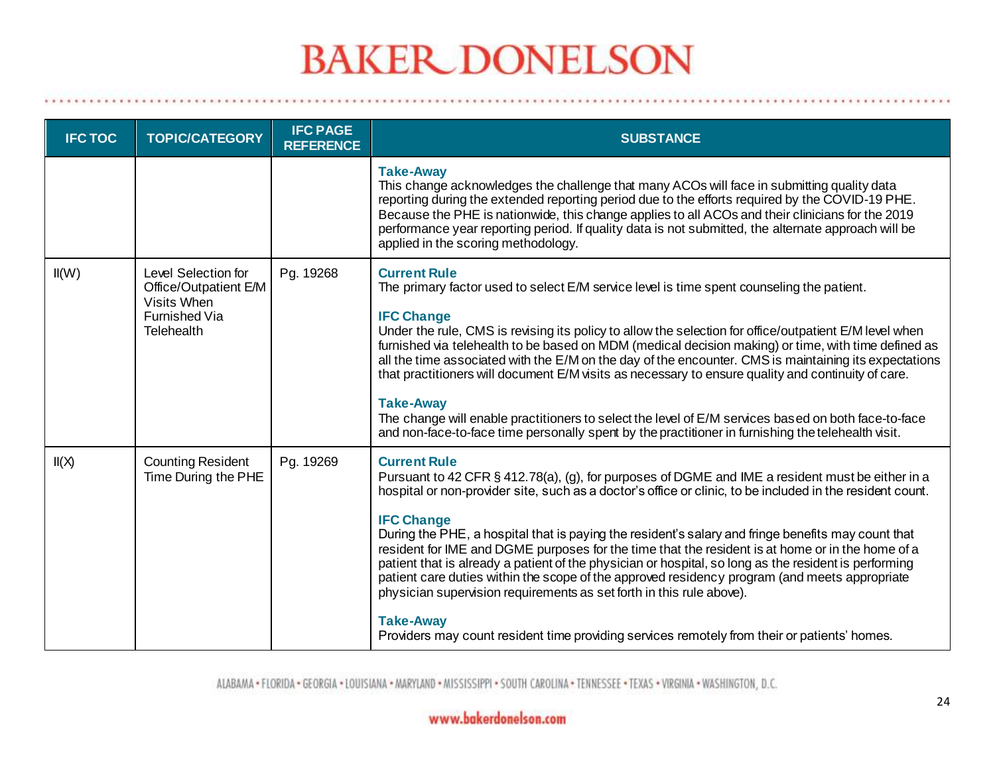| <b>IFC TOC</b> | <b>TOPIC/CATEGORY</b>                                                                                    | <b>IFC PAGE</b><br><b>REFERENCE</b> | <b>SUBSTANCE</b>                                                                                                                                                                                                                                                                                                                                                                                                                                                                                                                                                                                                                                                                                                                                                                                                                                                          |
|----------------|----------------------------------------------------------------------------------------------------------|-------------------------------------|---------------------------------------------------------------------------------------------------------------------------------------------------------------------------------------------------------------------------------------------------------------------------------------------------------------------------------------------------------------------------------------------------------------------------------------------------------------------------------------------------------------------------------------------------------------------------------------------------------------------------------------------------------------------------------------------------------------------------------------------------------------------------------------------------------------------------------------------------------------------------|
|                |                                                                                                          |                                     | <b>Take-Away</b><br>This change acknowledges the challenge that many ACOs will face in submitting quality data<br>reporting during the extended reporting period due to the efforts required by the COVID-19 PHE.<br>Because the PHE is nationwide, this change applies to all ACOs and their clinicians for the 2019<br>performance year reporting period. If quality data is not submitted, the alternate approach will be<br>applied in the scoring methodology.                                                                                                                                                                                                                                                                                                                                                                                                       |
| II(W)          | Level Selection for<br>Office/Outpatient E/M<br>Visits When<br><b>Furnished Via</b><br><b>Telehealth</b> | Pg. 19268                           | <b>Current Rule</b><br>The primary factor used to select E/M service level is time spent counseling the patient.<br><b>IFC Change</b><br>Under the rule, CMS is revising its policy to allow the selection for office/outpatient E/M level when<br>furnished via telehealth to be based on MDM (medical decision making) or time, with time defined as<br>all the time associated with the E/M on the day of the encounter. CMS is maintaining its expectations<br>that practitioners will document E/M visits as necessary to ensure quality and continuity of care.<br><b>Take-Away</b><br>The change will enable practitioners to select the level of E/M services based on both face-to-face<br>and non-face-to-face time personally spent by the practitioner in furnishing the telehealth visit.                                                                    |
| II(X)          | <b>Counting Resident</b><br>Time During the PHE                                                          | Pg. 19269                           | <b>Current Rule</b><br>Pursuant to 42 CFR § 412.78(a), (g), for purposes of DGME and IME a resident must be either in a<br>hospital or non-provider site, such as a doctor's office or clinic, to be included in the resident count.<br><b>IFC Change</b><br>During the PHE, a hospital that is paying the resident's salary and fringe benefits may count that<br>resident for IME and DGME purposes for the time that the resident is at home or in the home of a<br>patient that is already a patient of the physician or hospital, so long as the resident is performing<br>patient care duties within the scope of the approved residency program (and meets appropriate<br>physician supervision requirements as set forth in this rule above).<br><b>Take-Away</b><br>Providers may count resident time providing services remotely from their or patients' homes. |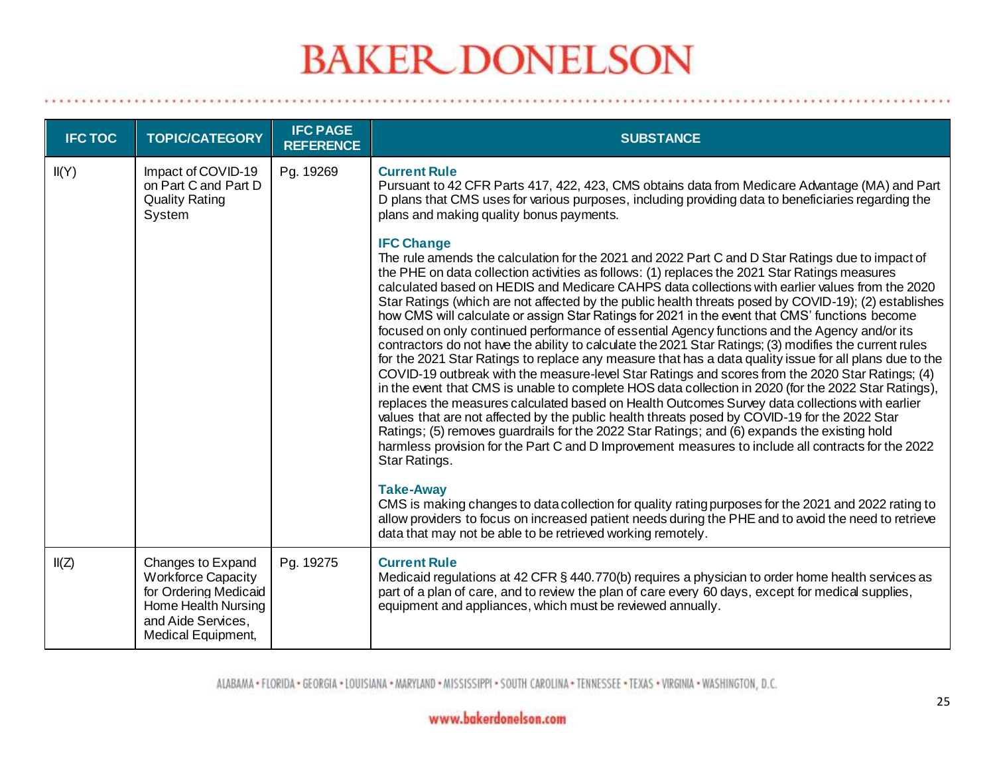| <b>IFC TOC</b> | <b>TOPIC/CATEGORY</b>                                                                                                                      | <b>IFC PAGE</b><br><b>REFERENCE</b> | <b>SUBSTANCE</b>                                                                                                                                                                                                                                                                                                                                                                                                                                                                                                                                                                                                                                                                                                                                                                                                                                                                                                                                                                                                                                                                                                                                                                                                                                                                                                                                                                                                                                                                                                                                                                                                                                                                                                                                                                                                                                                                                                                                                                                                                                                                |
|----------------|--------------------------------------------------------------------------------------------------------------------------------------------|-------------------------------------|---------------------------------------------------------------------------------------------------------------------------------------------------------------------------------------------------------------------------------------------------------------------------------------------------------------------------------------------------------------------------------------------------------------------------------------------------------------------------------------------------------------------------------------------------------------------------------------------------------------------------------------------------------------------------------------------------------------------------------------------------------------------------------------------------------------------------------------------------------------------------------------------------------------------------------------------------------------------------------------------------------------------------------------------------------------------------------------------------------------------------------------------------------------------------------------------------------------------------------------------------------------------------------------------------------------------------------------------------------------------------------------------------------------------------------------------------------------------------------------------------------------------------------------------------------------------------------------------------------------------------------------------------------------------------------------------------------------------------------------------------------------------------------------------------------------------------------------------------------------------------------------------------------------------------------------------------------------------------------------------------------------------------------------------------------------------------------|
| II(Y)          | Impact of COVID-19<br>on Part C and Part D<br><b>Quality Rating</b><br>System                                                              | Pg. 19269                           | <b>Current Rule</b><br>Pursuant to 42 CFR Parts 417, 422, 423, CMS obtains data from Medicare Advantage (MA) and Part<br>D plans that CMS uses for various purposes, including providing data to beneficiaries regarding the<br>plans and making quality bonus payments.<br><b>IFC Change</b><br>The rule amends the calculation for the 2021 and 2022 Part C and D Star Ratings due to impact of<br>the PHE on data collection activities as follows: (1) replaces the 2021 Star Ratings measures<br>calculated based on HEDIS and Medicare CAHPS data collections with earlier values from the 2020<br>Star Ratings (which are not affected by the public health threats posed by COVID-19); (2) establishes<br>how CMS will calculate or assign Star Ratings for 2021 in the event that CMS' functions become<br>focused on only continued performance of essential Agency functions and the Agency and/or its<br>contractors do not have the ability to calculate the 2021 Star Ratings; (3) modifies the current rules<br>for the 2021 Star Ratings to replace any measure that has a data quality issue for all plans due to the<br>COVID-19 outbreak with the measure-level Star Ratings and scores from the 2020 Star Ratings; (4)<br>in the event that CMS is unable to complete HOS data collection in 2020 (for the 2022 Star Ratings),<br>replaces the measures calculated based on Health Outcomes Survey data collections with earlier<br>values that are not affected by the public health threats posed by COVID-19 for the 2022 Star<br>Ratings; (5) removes guardrails for the 2022 Star Ratings; and (6) expands the existing hold<br>harmless provision for the Part C and D Improvement measures to include all contracts for the 2022<br>Star Ratings.<br><b>Take-Away</b><br>CMS is making changes to data collection for quality rating purposes for the 2021 and 2022 rating to<br>allow providers to focus on increased patient needs during the PHE and to avoid the need to retrieve<br>data that may not be able to be retrieved working remotely. |
| II(Z)          | Changes to Expand<br><b>Workforce Capacity</b><br>for Ordering Medicaid<br>Home Health Nursing<br>and Aide Services.<br>Medical Equipment, | Pg. 19275                           | <b>Current Rule</b><br>Medicaid regulations at 42 CFR § 440.770(b) requires a physician to order home health services as<br>part of a plan of care, and to review the plan of care every 60 days, except for medical supplies,<br>equipment and appliances, which must be reviewed annually.                                                                                                                                                                                                                                                                                                                                                                                                                                                                                                                                                                                                                                                                                                                                                                                                                                                                                                                                                                                                                                                                                                                                                                                                                                                                                                                                                                                                                                                                                                                                                                                                                                                                                                                                                                                    |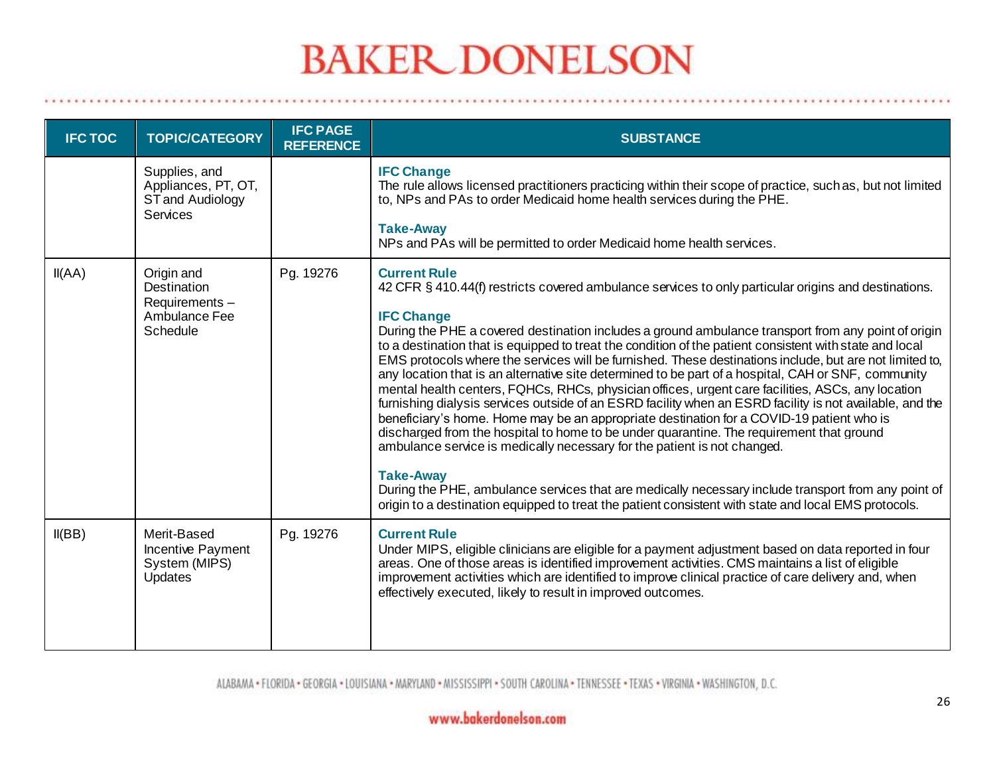| <b>IFC TOC</b> | <b>TOPIC/CATEGORY</b>                                                       | <b>IFC PAGE</b><br><b>REFERENCE</b> | <b>SUBSTANCE</b>                                                                                                                                                                                                                                                                                                                                                                                                                                                                                                                                                                     |
|----------------|-----------------------------------------------------------------------------|-------------------------------------|--------------------------------------------------------------------------------------------------------------------------------------------------------------------------------------------------------------------------------------------------------------------------------------------------------------------------------------------------------------------------------------------------------------------------------------------------------------------------------------------------------------------------------------------------------------------------------------|
|                | Supplies, and<br>Appliances, PT, OT,<br>ST and Audiology<br><b>Services</b> |                                     | <b>IFC Change</b><br>The rule allows licensed practitioners practicing within their scope of practice, such as, but not limited<br>to, NPs and PAs to order Medicaid home health services during the PHE.<br><b>Take-Away</b><br>NPs and PAs will be permitted to order Medicaid home health services.                                                                                                                                                                                                                                                                               |
|                |                                                                             |                                     |                                                                                                                                                                                                                                                                                                                                                                                                                                                                                                                                                                                      |
| II(AA)         | Origin and<br>Destination<br>Requirements-<br>Ambulance Fee<br>Schedule     | Pg. 19276                           | <b>Current Rule</b><br>42 CFR § 410.44(f) restricts covered ambulance services to only particular origins and destinations.<br><b>IFC Change</b><br>During the PHE a covered destination includes a ground ambulance transport from any point of origin<br>to a destination that is equipped to treat the condition of the patient consistent with state and local<br>EMS protocols where the services will be furnished. These destinations include, but are not limited to,<br>any location that is an alternative site determined to be part of a hospital, CAH or SNF, community |
|                |                                                                             |                                     | mental health centers, FQHCs, RHCs, physician offices, urgent care facilities, ASCs, any location<br>furnishing dialysis services outside of an ESRD facility when an ESRD facility is not available, and the<br>beneficiary's home. Home may be an appropriate destination for a COVID-19 patient who is<br>discharged from the hospital to home to be under quarantine. The requirement that ground<br>ambulance service is medically necessary for the patient is not changed.<br><b>Take-Away</b>                                                                                |
|                |                                                                             |                                     | During the PHE, ambulance services that are medically necessary include transport from any point of<br>origin to a destination equipped to treat the patient consistent with state and local EMS protocols.                                                                                                                                                                                                                                                                                                                                                                          |
| II(BB)         | Merit-Based<br>Incentive Payment<br>System (MIPS)<br><b>Updates</b>         | Pg. 19276                           | <b>Current Rule</b><br>Under MIPS, eligible clinicians are eligible for a payment adjustment based on data reported in four<br>areas. One of those areas is identified improvement activities. CMS maintains a list of eligible<br>improvement activities which are identified to improve clinical practice of care delivery and, when<br>effectively executed, likely to result in improved outcomes.                                                                                                                                                                               |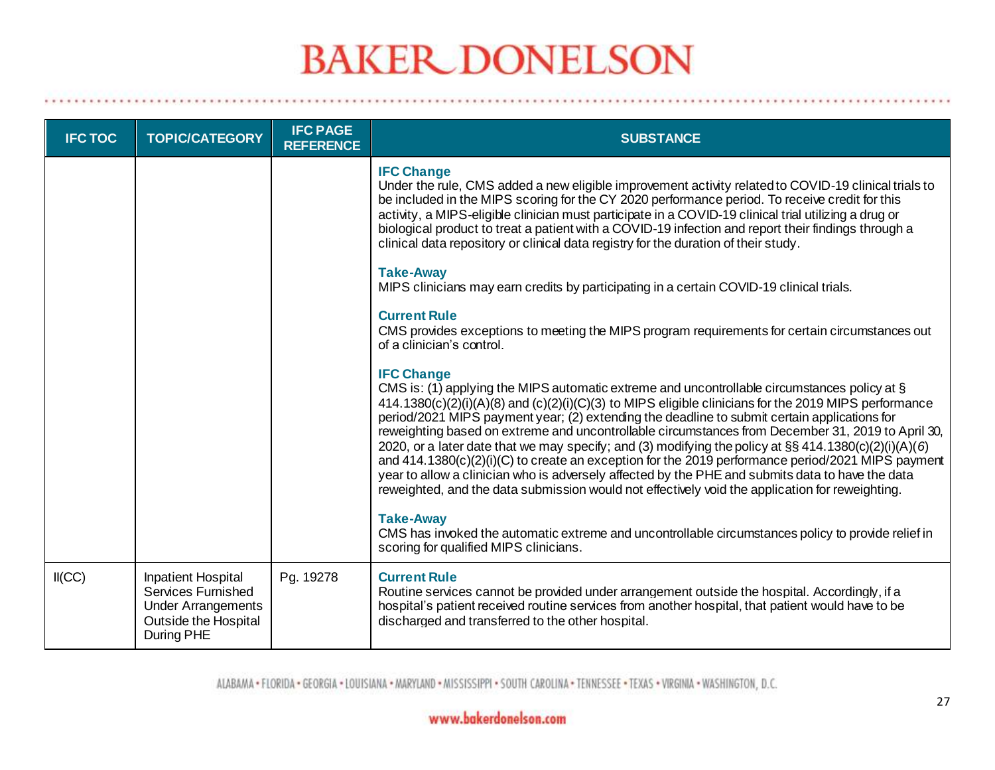| <b>IFC TOC</b> | <b>TOPIC/CATEGORY</b>                                                                                                     | <b>IFC PAGE</b><br><b>REFERENCE</b> | <b>SUBSTANCE</b>                                                                                                                                                                                                                                                                                                                                                                                                                                                                                                                                                                                                                                                                                                                                                                                                                                                                                                                                                                                                            |
|----------------|---------------------------------------------------------------------------------------------------------------------------|-------------------------------------|-----------------------------------------------------------------------------------------------------------------------------------------------------------------------------------------------------------------------------------------------------------------------------------------------------------------------------------------------------------------------------------------------------------------------------------------------------------------------------------------------------------------------------------------------------------------------------------------------------------------------------------------------------------------------------------------------------------------------------------------------------------------------------------------------------------------------------------------------------------------------------------------------------------------------------------------------------------------------------------------------------------------------------|
|                |                                                                                                                           |                                     | <b>IFC Change</b><br>Under the rule, CMS added a new eligible improvement activity related to COVID-19 clinical trials to<br>be included in the MIPS scoring for the CY 2020 performance period. To receive credit for this<br>activity, a MIPS-eligible clinician must participate in a COVID-19 clinical trial utilizing a drug or<br>biological product to treat a patient with a COVID-19 infection and report their findings through a<br>clinical data repository or clinical data registry for the duration of their study.                                                                                                                                                                                                                                                                                                                                                                                                                                                                                          |
|                |                                                                                                                           |                                     | <b>Take-Away</b><br>MIPS clinicians may earn credits by participating in a certain COVID-19 clinical trials.                                                                                                                                                                                                                                                                                                                                                                                                                                                                                                                                                                                                                                                                                                                                                                                                                                                                                                                |
|                |                                                                                                                           |                                     | <b>Current Rule</b><br>CMS provides exceptions to meeting the MIPS program requirements for certain circumstances out<br>of a clinician's control.                                                                                                                                                                                                                                                                                                                                                                                                                                                                                                                                                                                                                                                                                                                                                                                                                                                                          |
|                |                                                                                                                           |                                     | <b>IFC Change</b><br>CMS is: (1) applying the MIPS automatic extreme and uncontrollable circumstances policy at $\S$<br>414.1380(c)(2)(i)(A)(8) and (c)(2)(i)(C)(3) to MIPS eligible clinicians for the 2019 MIPS performance<br>period/2021 MIPS payment year; (2) extending the deadline to submit certain applications for<br>reweighting based on extreme and uncontrollable circumstances from December 31, 2019 to April 30,<br>2020, or a later date that we may specify; and (3) modifying the policy at §§ 414.1380(c)(2)(i)(A)(6)<br>and 414.1380(c)(2)(i)(C) to create an exception for the 2019 performance period/2021 MIPS payment<br>year to allow a clinician who is adversely affected by the PHE and submits data to have the data<br>reweighted, and the data submission would not effectively void the application for reweighting.<br><b>Take-Away</b><br>CMS has invoked the automatic extreme and uncontrollable circumstances policy to provide relief in<br>scoring for qualified MIPS clinicians. |
| II(CC)         | <b>Inpatient Hospital</b><br><b>Services Furnished</b><br><b>Under Arrangements</b><br>Outside the Hospital<br>During PHE | Pg. 19278                           | <b>Current Rule</b><br>Routine services cannot be provided under arrangement outside the hospital. Accordingly, if a<br>hospital's patient received routine services from another hospital, that patient would have to be<br>discharged and transferred to the other hospital.                                                                                                                                                                                                                                                                                                                                                                                                                                                                                                                                                                                                                                                                                                                                              |